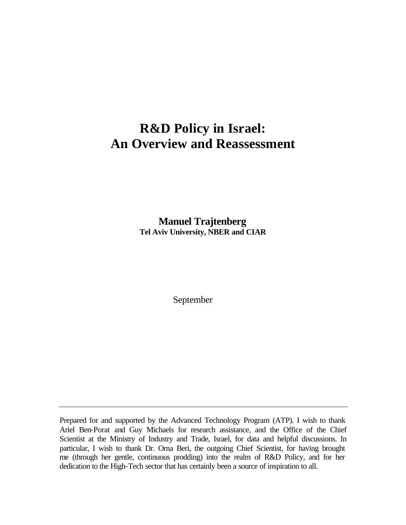# **R&D Policy in Israel: An Overview and Reassessment**

**Manuel Trajtenberg Tel Aviv University, NBER and CIAR**

September

Prepared for and supported by the Advanced Technology Program (ATP). I wish to thank Ariel Ben-Porat and Guy Michaels for research assistance, and the Office of the Chief Scientist at the Ministry of Industry and Trade, Israel, for data and helpful discussions. In particular, I wish to thank Dr. Orna Beri, the outgoing Chief Scientist, for having brought me (through her gentle, continuous prodding) into the realm of R&D Policy, and for her dedication to the High-Tech sector that has certainly been a source of inspiration to all.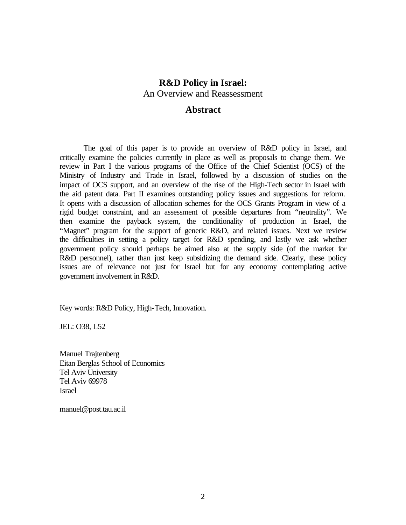## **R&D Policy in Israel:** An Overview and Reassessment

### **Abstract**

The goal of this paper is to provide an overview of R&D policy in Israel, and critically examine the policies currently in place as well as proposals to change them. We review in Part I the various programs of the Office of the Chief Scientist (OCS) of the Ministry of Industry and Trade in Israel, followed by a discussion of studies on the impact of OCS support, and an overview of the rise of the High-Tech sector in Israel with the aid patent data. Part II examines outstanding policy issues and suggestions for reform. It opens with a discussion of allocation schemes for the OCS Grants Program in view of a rigid budget constraint, and an assessment of possible departures from "neutrality". We then examine the payback system, the conditionality of production in Israel, the "Magnet" program for the support of generic R&D, and related issues. Next we review the difficulties in setting a policy target for R&D spending, and lastly we ask whether government policy should perhaps be aimed also at the supply side (of the market for R&D personnel), rather than just keep subsidizing the demand side. Clearly, these policy issues are of relevance not just for Israel but for any economy contemplating active government involvement in R&D.

Key words: R&D Policy, High-Tech, Innovation.

JEL: O38, L52

Manuel Trajtenberg Eitan Berglas School of Economics Tel Aviv University Tel Aviv 69978 Israel

manuel@post.tau.ac.il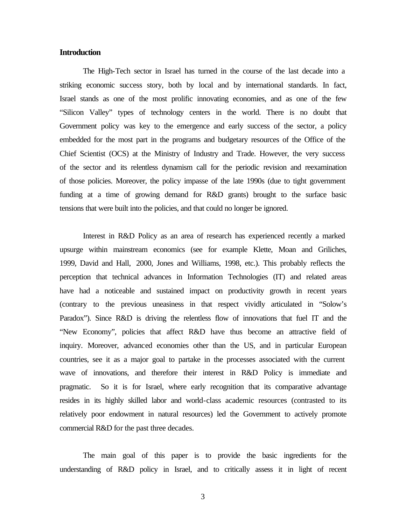#### **Introduction**

The High-Tech sector in Israel has turned in the course of the last decade into a striking economic success story, both by local and by international standards. In fact, Israel stands as one of the most prolific innovating economies, and as one of the few "Silicon Valley" types of technology centers in the world. There is no doubt that Government policy was key to the emergence and early success of the sector, a policy embedded for the most part in the programs and budgetary resources of the Office of the Chief Scientist (OCS) at the Ministry of Industry and Trade. However, the very success of the sector and its relentless dynamism call for the periodic revision and reexamination of those policies. Moreover, the policy impasse of the late 1990s (due to tight government funding at a time of growing demand for R&D grants) brought to the surface basic tensions that were built into the policies, and that could no longer be ignored.

Interest in R&D Policy as an area of research has experienced recently a marked upsurge within mainstream economics (see for example Klette, Moan and Griliches, 1999, David and Hall, 2000, Jones and Williams, 1998, etc.). This probably reflects the perception that technical advances in Information Technologies (IT) and related areas have had a noticeable and sustained impact on productivity growth in recent years (contrary to the previous uneasiness in that respect vividly articulated in "Solow's Paradox"). Since R&D is driving the relentless flow of innovations that fuel IT and the "New Economy", policies that affect R&D have thus become an attractive field of inquiry. Moreover, advanced economies other than the US, and in particular European countries, see it as a major goal to partake in the processes associated with the current wave of innovations, and therefore their interest in R&D Policy is immediate and pragmatic. So it is for Israel, where early recognition that its comparative advantage resides in its highly skilled labor and world-class academic resources (contrasted to its relatively poor endowment in natural resources) led the Government to actively promote commercial R&D for the past three decades.

The main goal of this paper is to provide the basic ingredients for the understanding of R&D policy in Israel, and to critically assess it in light of recent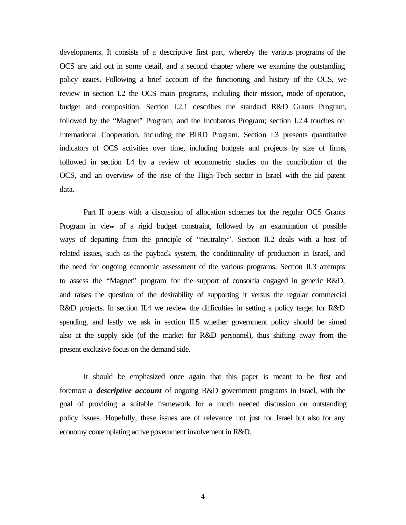developments. It consists of a descriptive first part, whereby the various programs of the OCS are laid out in some detail, and a second chapter where we examine the outstanding policy issues. Following a brief account of the functioning and history of the OCS, we review in section I.2 the OCS main programs, including their mission, mode of operation, budget and composition. Section I.2.1 describes the standard R&D Grants Program, followed by the "Magnet" Program, and the Incubators Program; section I.2.4 touches on International Cooperation, including the BIRD Program. Section I.3 presents quantitative indicators of OCS activities over time, including budgets and projects by size of firms, followed in section I.4 by a review of econometric studies on the contribution of the OCS, and an overview of the rise of the High-Tech sector in Israel with the aid patent data.

Part II opens with a discussion of allocation schemes for the regular OCS Grants Program in view of a rigid budget constraint, followed by an examination of possible ways of departing from the principle of "neutrality". Section II.2 deals with a host of related issues, such as the payback system, the conditionality of production in Israel, and the need for ongoing economic assessment of the various programs. Section II.3 attempts to assess the "Magnet" program for the support of consortia engaged in generic R&D, and raises the question of the desirability of supporting it versus the regular commercial R&D projects. In section II.4 we review the difficulties in setting a policy target for R&D spending, and lastly we ask in section II.5 whether government policy should be aimed also at the supply side (of the market for R&D personnel), thus shifting away from the present exclusive focus on the demand side.

It should be emphasized once again that this paper is meant to be first and foremost a *descriptive account* of ongoing R&D government programs in Israel, with the goal of providing a suitable framework for a much needed discussion on outstanding policy issues. Hopefully, these issues are of relevance not just for Israel but also for any economy contemplating active government involvement in R&D.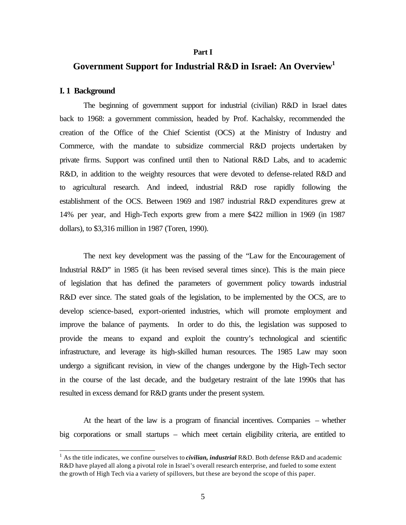#### **Part I**

## **Government Support for Industrial R&D in Israel: An Overview<sup>1</sup>**

#### **I. 1 Background**

The beginning of government support for industrial (civilian) R&D in Israel dates back to 1968: a government commission, headed by Prof. Kachalsky, recommended the creation of the Office of the Chief Scientist (OCS) at the Ministry of Industry and Commerce, with the mandate to subsidize commercial R&D projects undertaken by private firms. Support was confined until then to National R&D Labs, and to academic R&D, in addition to the weighty resources that were devoted to defense-related R&D and to agricultural research. And indeed, industrial R&D rose rapidly following the establishment of the OCS. Between 1969 and 1987 industrial R&D expenditures grew at 14% per year, and High-Tech exports grew from a mere \$422 million in 1969 (in 1987 dollars), to \$3,316 million in 1987 (Toren, 1990).

The next key development was the passing of the "Law for the Encouragement of Industrial R&D" in 1985 (it has been revised several times since). This is the main piece of legislation that has defined the parameters of government policy towards industrial R&D ever since. The stated goals of the legislation, to be implemented by the OCS, are to develop science-based, export-oriented industries, which will promote employment and improve the balance of payments. In order to do this, the legislation was supposed to provide the means to expand and exploit the country's technological and scientific infrastructure, and leverage its high-skilled human resources. The 1985 Law may soon undergo a significant revision, in view of the changes undergone by the High-Tech sector in the course of the last decade, and the budgetary restraint of the late 1990s that has resulted in excess demand for R&D grants under the present system.

At the heart of the law is a program of financial incentives. Companies – whether big corporations or small startups – which meet certain eligibility criteria, are entitled to

<sup>&</sup>lt;sup>1</sup> As the title indicates, we confine ourselves to *civilian, industrial* R&D. Both defense R&D and academic R&D have played all along a pivotal role in Israel's overall research enterprise, and fueled to some extent the growth of High Tech via a variety of spillovers, but these are beyond the scope of this paper.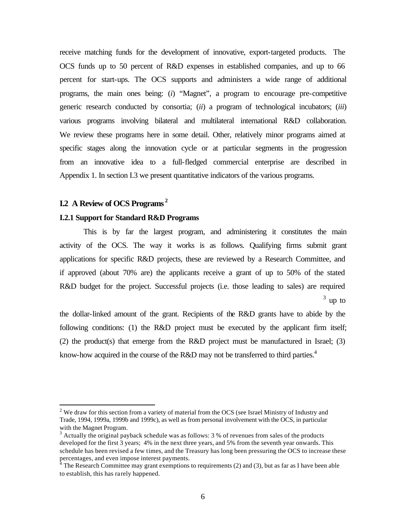receive matching funds for the development of innovative, export-targeted products. The OCS funds up to 50 percent of R&D expenses in established companies, and up to 66 percent for start-ups. The OCS supports and administers a wide range of additional programs, the main ones being: (*i*) "Magnet", a program to encourage pre-competitive generic research conducted by consortia; (*ii*) a program of technological incubators; (*iii*) various programs involving bilateral and multilateral international R&D collaboration. We review these programs here in some detail. Other, relatively minor programs aimed at specific stages along the innovation cycle or at particular segments in the progression from an innovative idea to a full-fledged commercial enterprise are described in Appendix 1. In section I.3 we present quantitative indicators of the various programs.

## **I.2 A Review of OCS Programs <sup>2</sup>**

 $\overline{a}$ 

#### **I.2.1 Support for Standard R&D Programs**

This is by far the largest program, and administering it constitutes the main activity of the OCS. The way it works is as follows. Qualifying firms submit grant applications for specific R&D projects, these are reviewed by a Research Committee, and if approved (about 70% are) the applicants receive a grant of up to 50% of the stated R&D budget for the project. Successful projects (i.e. those leading to sales) are required  $3$  up to

the dollar-linked amount of the grant. Recipients of the R&D grants have to abide by the following conditions: (1) the R&D project must be executed by the applicant firm itself; (2) the product(s) that emerge from the R&D project must be manufactured in Israel; (3) know-how acquired in the course of the R&D may not be transferred to third parties.<sup>4</sup>

 $2$  We draw for this section from a variety of material from the OCS (see Israel Ministry of Industry and Trade, 1994, 1999a, 1999b and 1999c), as well as from personal involvement with the OCS, in particular with the Magnet Program.

<sup>&</sup>lt;sup>3</sup> Actually the original payback schedule was as follows: 3 % of revenues from sales of the products developed for the first 3 years; 4% in the next three years, and 5% from the seventh year onwards. This schedule has been revised a few times, and the Treasury has long been pressuring the OCS to increase these percentages, and even impose interest payments.<br><sup>4</sup> The Bessereb Committee may grant avamptions.

The Research Committee may grant exemptions to requirements (2) and (3), but as far as I have been able to establish, this has rarely happened.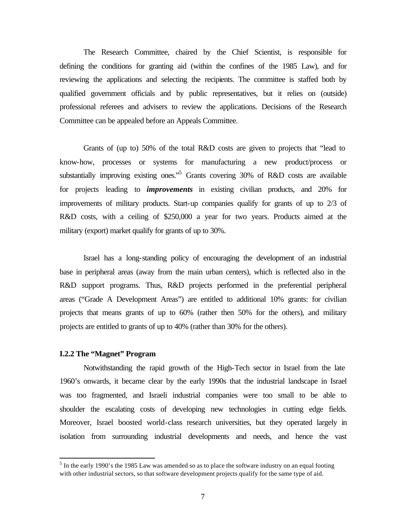The Research Committee, chaired by the Chief Scientist, is responsible for defining the conditions for granting aid (within the confines of the 1985 Law), and for reviewing the applications and selecting the recipients. The committee is staffed both by qualified government officials and by public representatives, but it relies on (outside) professional referees and advisers to review the applications. Decisions of the Research Committee can be appealed before an Appeals Committee.

Grants of (up to) 50% of the total R&D costs are given to projects that "lead to know-how, processes or systems for manufacturing a new product/process or substantially improving existing ones."<sup>5</sup> Grants covering 30% of R&D costs are available for projects leading to *improvements* in existing civilian products, and 20% for improvements of military products. Start-up companies qualify for grants of up to 2/3 of R&D costs, with a ceiling of \$250,000 a year for two years. Products aimed at the military (export) market qualify for grants of up to 30%.

Israel has a long-standing policy of encouraging the development of an industrial base in peripheral areas (away from the main urban centers), which is reflected also in the R&D support programs. Thus, R&D projects performed in the preferential peripheral areas ("Grade A Development Areas") are entitled to additional 10% grants: for civilian projects that means grants of up to 60% (rather then 50% for the others), and military projects are entitled to grants of up to 40% (rather than 30% for the others).

#### **I.2.2 The "Magnet" Program**

 $\overline{a}$ 

Notwithstanding the rapid growth of the High-Tech sector in Israel from the late 1960's onwards, it became clear by the early 1990s that the industrial landscape in Israel was too fragmented, and Israeli industrial companies were too small to be able to shoulder the escalating costs of developing new technologies in cutting edge fields. Moreover, Israel boosted world-class research universities, but they operated largely in isolation from surrounding industrial developments and needs, and hence the vast

 $<sup>5</sup>$  In the early 1990's the 1985 Law was amended so as to place the software industry on an equal footing</sup> with other industrial sectors, so that software development projects qualify for the same type of aid.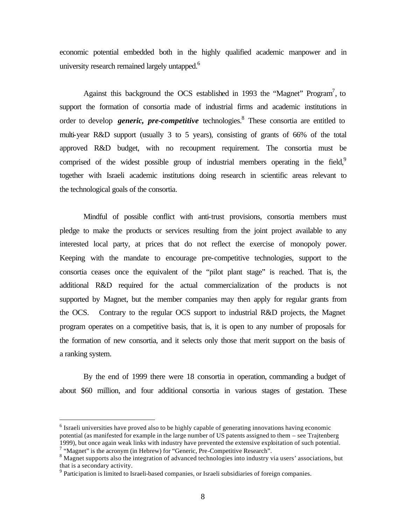economic potential embedded both in the highly qualified academic manpower and in university research remained largely untapped.<sup>6</sup>

Against this background the OCS established in 1993 the "Magnet" Program<sup>7</sup>, to support the formation of consortia made of industrial firms and academic institutions in order to develop *generic, pre-competitive* technologies.<sup>8</sup> These consortia are entitled to multi-year R&D support (usually 3 to 5 years), consisting of grants of 66% of the total approved R&D budget, with no recoupment requirement. The consortia must be comprised of the widest possible group of industrial members operating in the field,  $9^{\circ}$ together with Israeli academic institutions doing research in scientific areas relevant to the technological goals of the consortia.

Mindful of possible conflict with anti-trust provisions, consortia members must pledge to make the products or services resulting from the joint project available to any interested local party, at prices that do not reflect the exercise of monopoly power. Keeping with the mandate to encourage pre-competitive technologies, support to the consortia ceases once the equivalent of the "pilot plant stage" is reached. That is, the additional R&D required for the actual commercialization of the products is not supported by Magnet, but the member companies may then apply for regular grants from the OCS. Contrary to the regular OCS support to industrial R&D projects, the Magnet program operates on a competitive basis, that is, it is open to any number of proposals for the formation of new consortia, and it selects only those that merit support on the basis of a ranking system.

By the end of 1999 there were 18 consortia in operation, commanding a budget of about \$60 million, and four additional consortia in various stages of gestation. These

 $<sup>6</sup>$  Israeli universities have proved also to be highly capable of generating innovations having economic</sup> potential (as manifested for example in the large number of US patents assigned to them – see Trajtenberg 1999), but once again weak links with industry have prevented the extensive exploitation of such potential.

 $7$  "Magnet" is the acronym (in Hebrew) for "Generic, Pre-Competitive Research".

<sup>&</sup>lt;sup>8</sup> Magnet supports also the integration of advanced technologies into industry via users' associations, but that is a secondary activity.

<sup>&</sup>lt;sup>9</sup> Participation is limited to Israeli-based companies, or Israeli subsidiaries of foreign companies.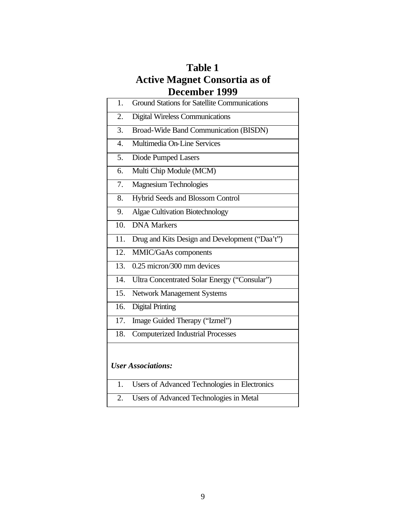## **Table 1 Active Magnet Consortia as of December 1999**

| 1.                | <b>Ground Stations for Satellite Communications</b>  |
|-------------------|------------------------------------------------------|
| $\overline{2}$ .  | <b>Digital Wireless Communications</b>               |
| 3.                | <b>Broad-Wide Band Communication (BISDN)</b>         |
| $\overline{4}$ .  | Multimedia On-Line Services                          |
| $\overline{5}$ .  | Diode Pumped Lasers                                  |
| 6.                | Multi Chip Module (MCM)                              |
| 7.                | <b>Magnesium Technologies</b>                        |
| 8.                | <b>Hybrid Seeds and Blossom Control</b>              |
| 9.                | <b>Algae Cultivation Biotechnology</b>               |
| 10.               | <b>DNA Markers</b>                                   |
| $\overline{11}$ . | Drug and Kits Design and Development ("Daa't")       |
| $\overline{12}$ . | MMIC/GaAs components                                 |
| 13.               | 0.25 micron/300 mm devices                           |
| $\overline{14}$ . | Ultra Concentrated Solar Energy ("Consular")         |
| 15.               | <b>Network Management Systems</b>                    |
| 16.               | <b>Digital Printing</b>                              |
| 17.               | Image Guided Therapy ("Izmel")                       |
| 18.               | <b>Computerized Industrial Processes</b>             |
|                   |                                                      |
|                   | <b>User Associations:</b>                            |
| 1.                | <b>Users of Advanced Technologies in Electronics</b> |
| 2.                | <b>Users of Advanced Technologies in Metal</b>       |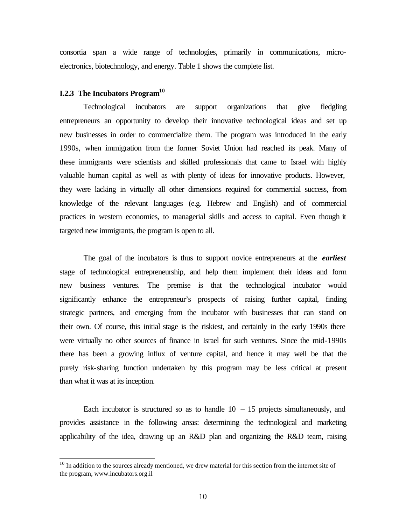consortia span a wide range of technologies, primarily in communications, microelectronics, biotechnology, and energy. Table 1 shows the complete list.

#### **I.2.3 The Incubators Program<sup>10</sup>**

 $\overline{a}$ 

Technological incubators are support organizations that give fledgling entrepreneurs an opportunity to develop their innovative technological ideas and set up new businesses in order to commercialize them. The program was introduced in the early 1990s, when immigration from the former Soviet Union had reached its peak. Many of these immigrants were scientists and skilled professionals that came to Israel with highly valuable human capital as well as with plenty of ideas for innovative products. However, they were lacking in virtually all other dimensions required for commercial success, from knowledge of the relevant languages (e.g. Hebrew and English) and of commercial practices in western economies, to managerial skills and access to capital. Even though it targeted new immigrants, the program is open to all.

The goal of the incubators is thus to support novice entrepreneurs at the *earliest* stage of technological entrepreneurship, and help them implement their ideas and form new business ventures. The premise is that the technological incubator would significantly enhance the entrepreneur's prospects of raising further capital, finding strategic partners, and emerging from the incubator with businesses that can stand on their own. Of course, this initial stage is the riskiest, and certainly in the early 1990s there were virtually no other sources of finance in Israel for such ventures. Since the mid-1990s there has been a growing influx of venture capital, and hence it may well be that the purely risk-sharing function undertaken by this program may be less critical at present than what it was at its inception.

Each incubator is structured so as to handle  $10 - 15$  projects simultaneously, and provides assistance in the following areas: determining the technological and marketing applicability of the idea, drawing up an R&D plan and organizing the R&D team, raising

<sup>&</sup>lt;sup>10</sup> In addition to the sources already mentioned, we drew material for this section from the internet site of the program, www.incubators.org.il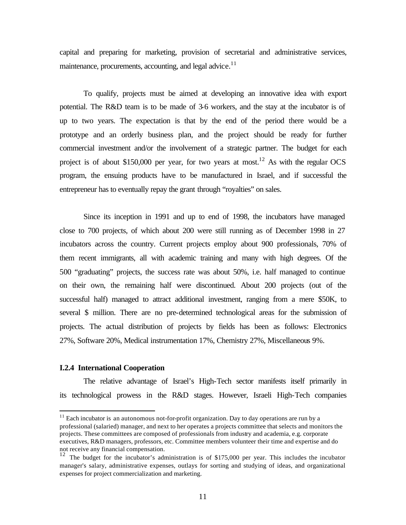capital and preparing for marketing, provision of secretarial and administrative services, maintenance, procurements, accounting, and legal advice. $^{11}$ 

To qualify, projects must be aimed at developing an innovative idea with export potential. The R&D team is to be made of 3-6 workers, and the stay at the incubator is of up to two years. The expectation is that by the end of the period there would be a prototype and an orderly business plan, and the project should be ready for further commercial investment and/or the involvement of a strategic partner. The budget for each project is of about \$150,000 per year, for two years at most.<sup>12</sup> As with the regular OCS program, the ensuing products have to be manufactured in Israel, and if successful the entrepreneur has to eventually repay the grant through "royalties" on sales.

Since its inception in 1991 and up to end of 1998, the incubators have managed close to 700 projects, of which about 200 were still running as of December 1998 in 27 incubators across the country. Current projects employ about 900 professionals, 70% of them recent immigrants, all with academic training and many with high degrees. Of the 500 "graduating" projects, the success rate was about 50%, i.e. half managed to continue on their own, the remaining half were discontinued. About 200 projects (out of the successful half) managed to attract additional investment, ranging from a mere \$50K, to several \$ million. There are no pre-determined technological areas for the submission of projects. The actual distribution of projects by fields has been as follows: Electronics 27%, Software 20%, Medical instrumentation 17%, Chemistry 27%, Miscellaneous 9%.

#### **I.2.4 International Cooperation**

 $\overline{a}$ 

The relative advantage of Israel's High-Tech sector manifests itself primarily in its technological prowess in the R&D stages. However, Israeli High-Tech companies

 $11$  Each incubator is an autonomous not-for-profit organization. Day to day operations are run by a professional (salaried) manager, and next to her operates a projects committee that selects and monitors the projects. These committees are composed of professionals from industry and academia, e.g. corporate executives, R&D managers, professors, etc. Committee members volunteer their time and expertise and do not receive any financial compensation.

<sup>&</sup>lt;sup>12</sup> The budget for the incubator's administration is of \$175,000 per year. This includes the incubator manager's salary, administrative expenses, outlays for sorting and studying of ideas, and organizational expenses for project commercialization and marketing.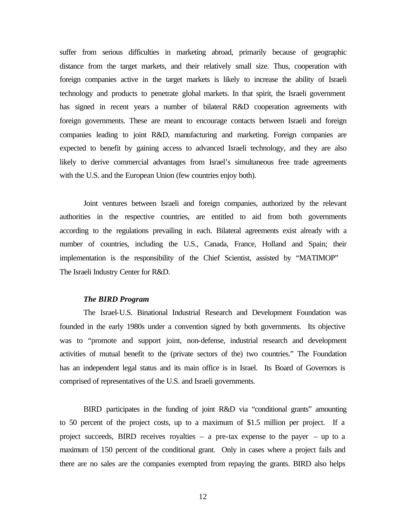suffer from serious difficulties in marketing abroad, primarily because of geographic distance from the target markets, and their relatively small size. Thus, cooperation with foreign companies active in the target markets is likely to increase the ability of Israeli technology and products to penetrate global markets. In that spirit, the Israeli government has signed in recent years a number of bilateral R&D cooperation agreements with foreign governments. These are meant to encourage contacts between Israeli and foreign companies leading to joint R&D, manufacturing and marketing. Foreign companies are expected to benefit by gaining access to advanced Israeli technology, and they are also likely to derive commercial advantages from Israel's simultaneous free trade agreements with the U.S. and the European Union (few countries enjoy both).

Joint ventures between Israeli and foreign companies, authorized by the relevant authorities in the respective countries, are entitled to aid from both governments according to the regulations prevailing in each. Bilateral agreements exist already with a number of countries, including the U.S., Canada, France, Holland and Spain; their implementation is the responsibility of the Chief Scientist, assisted by "MATIMOP" The Israeli Industry Center for R&D.

#### *The BIRD Program*

The Israel-U.S. Binational Industrial Research and Development Foundation was founded in the early 1980s under a convention signed by both governments. Its objective was to "promote and support joint, non-defense, industrial research and development activities of mutual benefit to the (private sectors of the) two countries." The Foundation has an independent legal status and its main office is in Israel. Its Board of Governors is comprised of representatives of the U.S. and Israeli governments.

BIRD participates in the funding of joint R&D via "conditional grants" amounting to 50 percent of the project costs, up to a maximum of \$1.5 million per project. If a project succeeds, BIRD receives royalties – a pre-tax expense to the payer – up to a maximum of 150 percent of the conditional grant. Only in cases where a project fails and there are no sales are the companies exempted from repaying the grants. BIRD also helps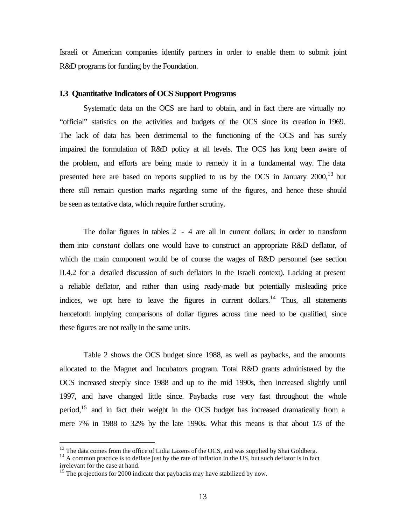Israeli or American companies identify partners in order to enable them to submit joint R&D programs for funding by the Foundation.

#### **I.3 Quantitative Indicators of OCS Support Programs**

Systematic data on the OCS are hard to obtain, and in fact there are virtually no "official" statistics on the activities and budgets of the OCS since its creation in 1969. The lack of data has been detrimental to the functioning of the OCS and has surely impaired the formulation of R&D policy at all levels. The OCS has long been aware of the problem, and efforts are being made to remedy it in a fundamental way. The data presented here are based on reports supplied to us by the OCS in January  $2000$ ,  $13$  but there still remain question marks regarding some of the figures, and hence these should be seen as tentative data, which require further scrutiny.

The dollar figures in tables 2 - 4 are all in current dollars; in order to transform them into *constant* dollars one would have to construct an appropriate R&D deflator, of which the main component would be of course the wages of R&D personnel (see section II.4.2 for a detailed discussion of such deflators in the Israeli context). Lacking at present a reliable deflator, and rather than using ready-made but potentially misleading price indices, we opt here to leave the figures in current dollars.<sup>14</sup> Thus, all statements henceforth implying comparisons of dollar figures across time need to be qualified, since these figures are not really in the same units.

Table 2 shows the OCS budget since 1988, as well as paybacks, and the amounts allocated to the Magnet and Incubators program. Total R&D grants administered by the OCS increased steeply since 1988 and up to the mid 1990s, then increased slightly until 1997, and have changed little since. Paybacks rose very fast throughout the whole period, $15$  and in fact their weight in the OCS budget has increased dramatically from a mere 7% in 1988 to 32% by the late 1990s. What this means is that about 1/3 of the

<sup>&</sup>lt;sup>13</sup> The data comes from the office of Lidia Lazens of the OCS, and was supplied by Shai Goldberg.

<sup>&</sup>lt;sup>14</sup> A common practice is to deflate just by the rate of inflation in the US, but such deflator is in fact irrelevant for the case at hand.

<sup>&</sup>lt;sup>15</sup> The projections for 2000 indicate that paybacks may have stabilized by now.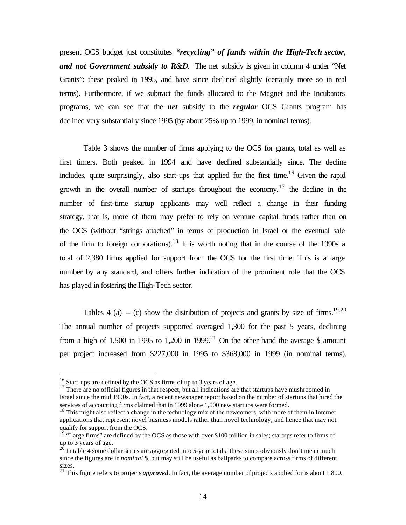present OCS budget just constitutes *"recycling" of funds within the High-Tech sector, and not Government subsidy to R&D.* The net subsidy is given in column 4 under "Net Grants": these peaked in 1995, and have since declined slightly (certainly more so in real terms). Furthermore, if we subtract the funds allocated to the Magnet and the Incubators programs, we can see that the *net* subsidy to the *regular* OCS Grants program has declined very substantially since 1995 (by about 25% up to 1999, in nominal terms).

Table 3 shows the number of firms applying to the OCS for grants, total as well as first timers. Both peaked in 1994 and have declined substantially since. The decline includes, quite surprisingly, also start-ups that applied for the first time.<sup>16</sup> Given the rapid growth in the overall number of startups throughout the economy,  $17$  the decline in the number of first-time startup applicants may well reflect a change in their funding strategy, that is, more of them may prefer to rely on venture capital funds rather than on the OCS (without "strings attached" in terms of production in Israel or the eventual sale of the firm to foreign corporations).<sup>18</sup> It is worth noting that in the course of the 1990s a total of 2,380 firms applied for support from the OCS for the first time. This is a large number by any standard, and offers further indication of the prominent role that the OCS has played in fostering the High-Tech sector.

Tables 4 (a) – (c) show the distribution of projects and grants by size of firms.<sup>19,20</sup> The annual number of projects supported averaged 1,300 for the past 5 years, declining from a high of 1,500 in 1995 to 1,200 in 1999.<sup>21</sup> On the other hand the average \$ amount per project increased from \$227,000 in 1995 to \$368,000 in 1999 (in nominal terms).

<sup>&</sup>lt;sup>16</sup> Start-ups are defined by the OCS as firms of up to 3 years of age.

 $17$  There are no official figures in that respect, but all indications are that startups have mushroomed in Israel since the mid 1990s. In fact, a recent newspaper report based on the number of startups that hired the services of accounting firms claimed that in 1999 alone 1,500 new startups were formed.

 $18$  This might also reflect a change in the technology mix of the newcomers, with more of them in Internet applications that represent novel business models rather than novel technology, and hence that may not qualify for support from the OCS.

<sup>&</sup>lt;sup>9</sup> "Large firms" are defined by the OCS as those with over \$100 million in sales; startups refer to firms of up to 3 years of age.

 $^{20}$  In table 4 some dollar series are aggregated into 5-year totals: these sums obviously don't mean much since the figures are in *nominal* \$, but may still be useful as ballparks to compare across firms of different sizes.

<sup>&</sup>lt;sup>21</sup> This figure refers to projects *approved*. In fact, the average number of projects applied for is about 1,800.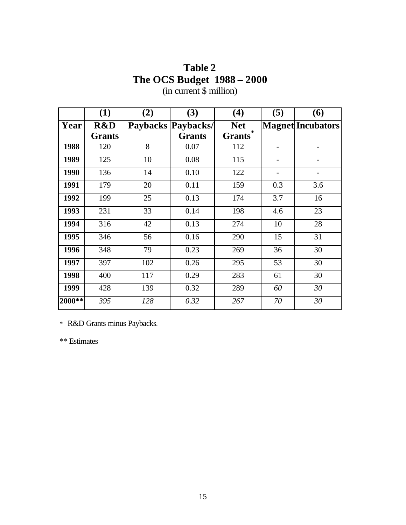|        | (1)           | (2) | (3)                       | (4)           | (5) | (6)                      |
|--------|---------------|-----|---------------------------|---------------|-----|--------------------------|
| Year   | R&D           |     | <b>Paybacks Paybacks/</b> | <b>Net</b>    |     | <b>Magnet Incubators</b> |
|        | <b>Grants</b> |     | <b>Grants</b>             | <b>Grants</b> |     |                          |
| 1988   | 120           | 8   | 0.07                      | 112           |     |                          |
| 1989   | 125           | 10  | 0.08                      | 115           |     |                          |
| 1990   | 136           | 14  | 0.10                      | 122           |     |                          |
| 1991   | 179           | 20  | 0.11                      | 159           | 0.3 | 3.6                      |
| 1992   | 199           | 25  | 0.13                      | 174           | 3.7 | 16                       |
| 1993   | 231           | 33  | 0.14                      | 198           | 4.6 | 23                       |
| 1994   | 316           | 42  | 0.13                      | 274           | 10  | 28                       |
| 1995   | 346           | 56  | 0.16                      | 290           | 15  | 31                       |
| 1996   | 348           | 79  | 0.23                      | 269           | 36  | 30                       |
| 1997   | 397           | 102 | 0.26                      | 295           | 53  | 30                       |
| 1998   | 400           | 117 | 0.29                      | 283           | 61  | 30                       |
| 1999   | 428           | 139 | 0.32                      | 289           | 60  | 30                       |
| 2000** | 395           | 128 | 0.32                      | 267           | 70  | 30                       |

# **Table 2 The OCS Budget 1988 – 2000**

(in current \$ million)

\* R&D Grants minus Paybacks.

\*\* Estimates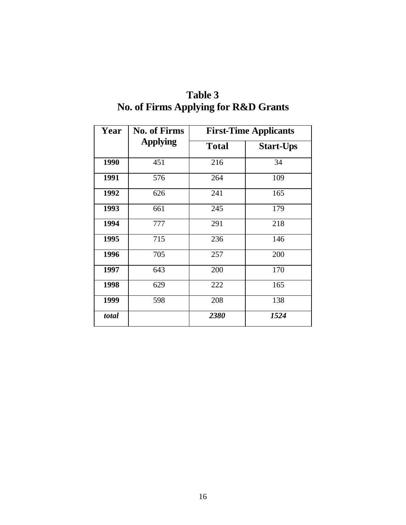| <b>No. of Firms</b><br>Year |                 |              | <b>First-Time Applicants</b> |  |  |
|-----------------------------|-----------------|--------------|------------------------------|--|--|
|                             | <b>Applying</b> | <b>Total</b> | <b>Start-Ups</b>             |  |  |
| 1990                        | 451             | 216          | 34                           |  |  |
| 1991                        | 576             | 264          | 109                          |  |  |
| 1992                        | 626             | 241          | 165                          |  |  |
| 1993                        | 661             | 245          | 179                          |  |  |
| 1994                        | 777             | 291          | 218                          |  |  |
| 1995                        | 715             | 236          | 146                          |  |  |
| 1996                        | 705             | 257          | 200                          |  |  |
| 1997                        | 643             | 200          | 170                          |  |  |
| 1998                        | 629             | 222          | 165                          |  |  |
| 1999                        | 598             | 208          | 138                          |  |  |
| total                       |                 | 2380         | 1524                         |  |  |

# **Table 3 No. of Firms Applying for R&D Grants**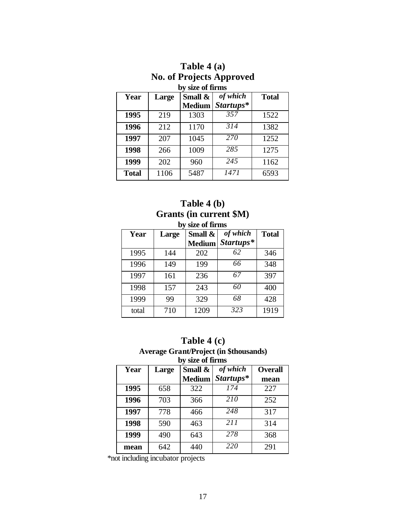| by size of firms |       |                             |                       |              |  |
|------------------|-------|-----------------------------|-----------------------|--------------|--|
| Year             | Large | Small $\&$<br><b>Medium</b> | of which<br>Startups* | <b>Total</b> |  |
| 1995             | 219   | 1303                        | 357                   | 1522         |  |
| 1996             | 212   | 1170                        | 314                   | 1382         |  |
| 1997             | 207   | 1045                        | 270                   | 1252         |  |
| 1998             | 266   | 1009                        | 285                   | 1275         |  |
| 1999             | 202   | 960                         | 245                   | 1162         |  |
| <b>Total</b>     | 1106  | 5487                        | 1471                  | 6593         |  |

# **Table 4 (a) No. of Projects Approved**

### **Table 4 (b) Grants (in current \$M) by size of firms**

| IJ,<br><b>SILC OF THE HIS</b> |       |               |           |              |  |
|-------------------------------|-------|---------------|-----------|--------------|--|
| Year                          | Large | Small &       | of which  | <b>Total</b> |  |
|                               |       | <b>Medium</b> | Startups* |              |  |
| 1995                          | 144   | 202           | 62        | 346          |  |
| 1996                          | 149   | 199           | 66        | 348          |  |
| 1997                          | 161   | 236           | 67        | 397          |  |
| 1998                          | 157   | 243           | 60        | 400          |  |
| 1999                          | 99    | 329           | 68        | 428          |  |
| total                         | 710   | 1209          | 323       | 1919         |  |

## **Table 4 (c) Average Grant/Project (in \$thousands)**

| by size of firms |       |               |           |                |  |
|------------------|-------|---------------|-----------|----------------|--|
| Year             | Large | Small &       | of which  | <b>Overall</b> |  |
|                  |       | <b>Medium</b> | Startups* | mean           |  |
| 1995             | 658   | 322           | 174       | 227            |  |
| 1996             | 703   | 366           | 210       | 252            |  |
| 1997             | 778   | 466           | 248       | 317            |  |
| 1998             | 590   | 463           | 211       | 314            |  |
| 1999             | 490   | 643           | 278       | 368            |  |
| mean             | 642   | 440           | 220       | 291            |  |

\*not including incubator projects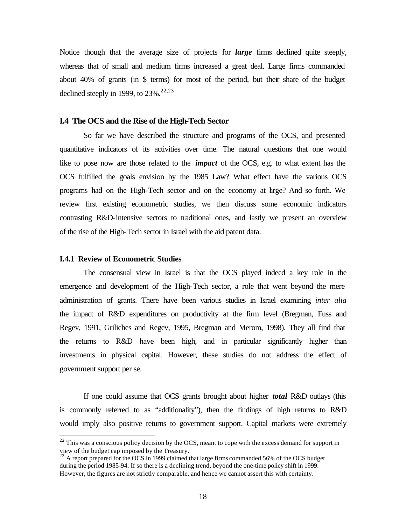Notice though that the average size of projects for *large* firms declined quite steeply, whereas that of small and medium firms increased a great deal. Large firms commanded about 40% of grants (in \$ terms) for most of the period, but their share of the budget declined steeply in 1999, to  $23\%$ <sup>22,23</sup>

#### **I.4 The OCS and the Rise of the High-Tech Sector**

So far we have described the structure and programs of the OCS, and presented quantitative indicators of its activities over time. The natural questions that one would like to pose now are those related to the *impact* of the OCS, e.g. to what extent has the OCS fulfilled the goals envision by the 1985 Law? What effect have the various OCS programs had on the High-Tech sector and on the economy at large? And so forth. We review first existing econometric studies, we then discuss some economic indicators contrasting R&D-intensive sectors to traditional ones, and lastly we present an overview of the rise of the High-Tech sector in Israel with the aid patent data.

#### **I.4.1 Review of Econometric Studies**

 $\overline{a}$ 

The consensual view in Israel is that the OCS played indeed a key role in the emergence and development of the High-Tech sector, a role that went beyond the mere administration of grants. There have been various studies in Israel examining *inter alia* the impact of R&D expenditures on productivity at the firm level (Bregman, Fuss and Regev, 1991, Griliches and Regev, 1995, Bregman and Merom, 1998). They all find that the returns to R&D have been high, and in particular significantly higher than investments in physical capital. However, these studies do not address the effect of government support per se.

If one could assume that OCS grants brought about higher *total* R&D outlays (this is commonly referred to as "additionality"), then the findings of high returns to R&D would imply also positive returns to government support. Capital markets were extremely

 $2<sup>22</sup>$  This was a conscious policy decision by the OCS, meant to cope with the excess demand for support in view of the budget cap imposed by the Treasury.

 $^{23}$  A report prepared for the OCS in 1999 claimed that large firms commanded 56% of the OCS budget during the period 1985-94. If so there is a declining trend, beyond the one-time policy shift in 1999. However, the figures are not strictly comparable, and hence we cannot assert this with certainty.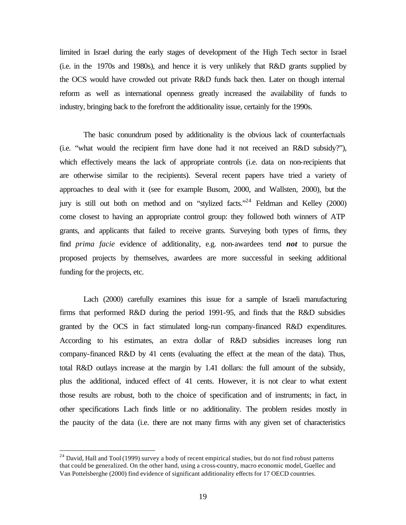limited in Israel during the early stages of development of the High Tech sector in Israel (i.e. in the 1970s and 1980s), and hence it is very unlikely that R&D grants supplied by the OCS would have crowded out private R&D funds back then. Later on though internal reform as well as international openness greatly increased the availability of funds to industry, bringing back to the forefront the additionality issue, certainly for the 1990s.

The basic conundrum posed by additionality is the obvious lack of counterfactuals (i.e. "what would the recipient firm have done had it not received an R&D subsidy?"), which effectively means the lack of appropriate controls (i.e. data on non-recipients that are otherwise similar to the recipients). Several recent papers have tried a variety of approaches to deal with it (see for example Busom, 2000, and Wallsten, 2000), but the jury is still out both on method and on "stylized facts."<sup>24</sup> Feldman and Kelley (2000) come closest to having an appropriate control group: they followed both winners of ATP grants, and applicants that failed to receive grants. Surveying both types of firms, they find *prima facie* evidence of additionality, e.g. non-awardees tend *not* to pursue the proposed projects by themselves, awardees are more successful in seeking additional funding for the projects, etc.

Lach (2000) carefully examines this issue for a sample of Israeli manufacturing firms that performed R&D during the period 1991-95, and finds that the R&D subsidies granted by the OCS in fact stimulated long-run company-financed R&D expenditures. According to his estimates, an extra dollar of R&D subsidies increases long run company-financed R&D by 41 cents (evaluating the effect at the mean of the data). Thus, total R&D outlays increase at the margin by 1.41 dollars: the full amount of the subsidy, plus the additional, induced effect of 41 cents. However, it is not clear to what extent those results are robust, both to the choice of specification and of instruments; in fact, in other specifications Lach finds little or no additionality. The problem resides mostly in the paucity of the data (i.e. there are not many firms with any given set of characteristics

<sup>&</sup>lt;sup>24</sup> David, Hall and Tool (1999) survey a body of recent empirical studies, but do not find robust patterns that could be generalized. On the other hand, using a cross-country, macro economic model, Guellec and Van Pottelsberghe (2000) find evidence of significant additionality effects for 17 OECD countries.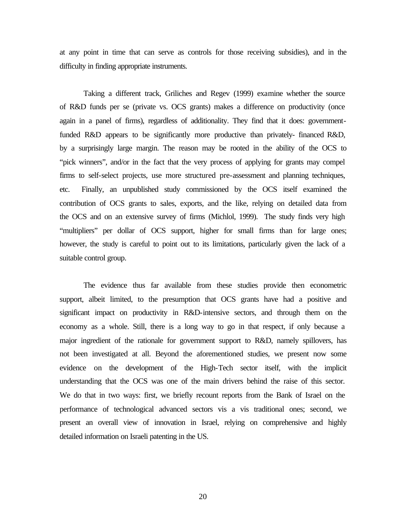at any point in time that can serve as controls for those receiving subsidies), and in the difficulty in finding appropriate instruments.

Taking a different track, Griliches and Regev (1999) examine whether the source of R&D funds per se (private vs. OCS grants) makes a difference on productivity (once again in a panel of firms), regardless of additionality. They find that it does: governmentfunded R&D appears to be significantly more productive than privately-financed R&D, by a surprisingly large margin. The reason may be rooted in the ability of the OCS to "pick winners", and/or in the fact that the very process of applying for grants may compel firms to self-select projects, use more structured pre-assessment and planning techniques, etc. Finally, an unpublished study commissioned by the OCS itself examined the contribution of OCS grants to sales, exports, and the like, relying on detailed data from the OCS and on an extensive survey of firms (Michlol, 1999). The study finds very high "multipliers" per dollar of OCS support, higher for small firms than for large ones; however, the study is careful to point out to its limitations, particularly given the lack of a suitable control group.

The evidence thus far available from these studies provide then econometric support, albeit limited, to the presumption that OCS grants have had a positive and significant impact on productivity in R&D-intensive sectors, and through them on the economy as a whole. Still, there is a long way to go in that respect, if only because a major ingredient of the rationale for government support to R&D, namely spillovers, has not been investigated at all. Beyond the aforementioned studies, we present now some evidence on the development of the High-Tech sector itself, with the implicit understanding that the OCS was one of the main drivers behind the raise of this sector. We do that in two ways: first, we briefly recount reports from the Bank of Israel on the performance of technological advanced sectors vis a vis traditional ones; second, we present an overall view of innovation in Israel, relying on comprehensive and highly detailed information on Israeli patenting in the US.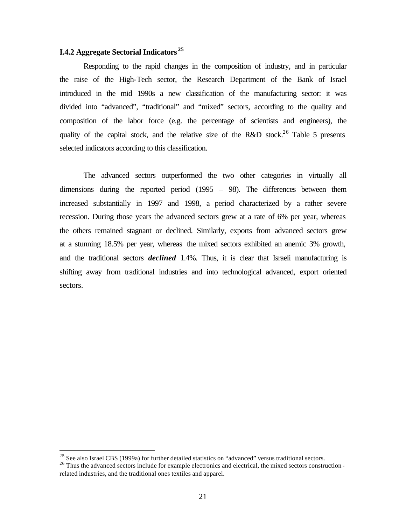#### **I.4.2 Aggregate Sectorial Indicators <sup>25</sup>**

Responding to the rapid changes in the composition of industry, and in particular the raise of the High-Tech sector, the Research Department of the Bank of Israel introduced in the mid 1990s a new classification of the manufacturing sector: it was divided into "advanced", "traditional" and "mixed" sectors, according to the quality and composition of the labor force (e.g. the percentage of scientists and engineers), the quality of the capital stock, and the relative size of the R&D stock.<sup>26</sup> Table 5 presents selected indicators according to this classification.

The advanced sectors outperformed the two other categories in virtually all dimensions during the reported period (1995 – 98). The differences between them increased substantially in 1997 and 1998, a period characterized by a rather severe recession. During those years the advanced sectors grew at a rate of 6% per year, whereas the others remained stagnant or declined. Similarly, exports from advanced sectors grew at a stunning 18.5% per year, whereas the mixed sectors exhibited an anemic 3% growth, and the traditional sectors *declined* 1.4%. Thus, it is clear that Israeli manufacturing is shifting away from traditional industries and into technological advanced, export oriented sectors.

<sup>&</sup>lt;sup>25</sup> See also Israel CBS (1999a) for further detailed statistics on "advanced" versus traditional sectors.

<sup>&</sup>lt;sup>26</sup> Thus the advanced sectors include for example electronics and electrical, the mixed sectors construction related industries, and the traditional ones textiles and apparel.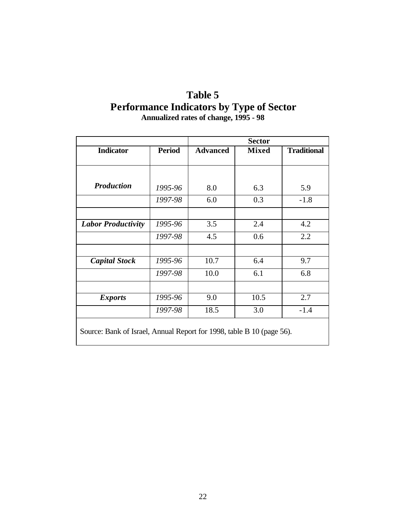| Table 5                                         |
|-------------------------------------------------|
| <b>Performance Indicators by Type of Sector</b> |
| <b>Annualized rates of change, 1995 - 98</b>    |

|                                                                       |               | <b>Sector</b>   |              |                    |
|-----------------------------------------------------------------------|---------------|-----------------|--------------|--------------------|
| <b>Indicator</b>                                                      | <b>Period</b> | <b>Advanced</b> | <b>Mixed</b> | <b>Traditional</b> |
|                                                                       |               |                 |              |                    |
|                                                                       |               |                 |              |                    |
| <b>Production</b>                                                     | 1995-96       | 8.0             | 6.3          | 5.9                |
|                                                                       | 1997-98       | 6.0             | 0.3          | $-1.8$             |
|                                                                       |               |                 |              |                    |
| <b>Labor Productivity</b>                                             | 1995-96       | 3.5             | 2.4          | 4.2                |
|                                                                       | 1997-98       | 4.5             | 0.6          | 2.2                |
|                                                                       |               |                 |              |                    |
| <b>Capital Stock</b>                                                  | 1995-96       | 10.7            | 6.4          | 9.7                |
|                                                                       | 1997-98       | 10.0            | 6.1          | 6.8                |
|                                                                       |               |                 |              |                    |
| <b>Exports</b>                                                        | 1995-96       | 9.0             | 10.5         | 2.7                |
|                                                                       | 1997-98       | 18.5            | 3.0          | $-1.4$             |
|                                                                       |               |                 |              |                    |
| Source: Bank of Israel, Annual Report for 1998, table B 10 (page 56). |               |                 |              |                    |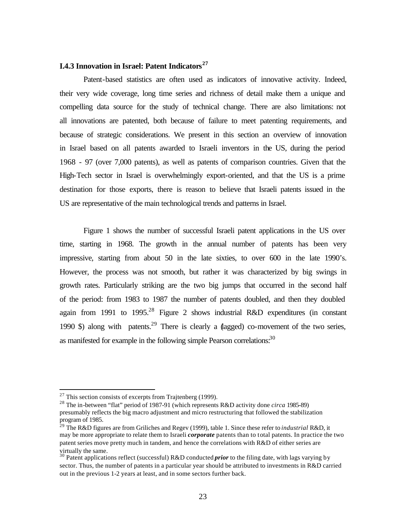### **I.4.3 Innovation in Israel: Patent Indicators 27**

Patent-based statistics are often used as indicators of innovative activity. Indeed, their very wide coverage, long time series and richness of detail make them a unique and compelling data source for the study of technical change. There are also limitations: not all innovations are patented, both because of failure to meet patenting requirements, and because of strategic considerations. We present in this section an overview of innovation in Israel based on all patents awarded to Israeli inventors in the US, during the period 1968 - 97 (over 7,000 patents), as well as patents of comparison countries. Given that the High-Tech sector in Israel is overwhelmingly export-oriented, and that the US is a prime destination for those exports, there is reason to believe that Israeli patents issued in the US are representative of the main technological trends and patterns in Israel.

Figure 1 shows the number of successful Israeli patent applications in the US over time, starting in 1968. The growth in the annual number of patents has been very impressive, starting from about 50 in the late sixties, to over 600 in the late 1990's. However, the process was not smooth, but rather it was characterized by big swings in growth rates. Particularly striking are the two big jumps that occurred in the second half of the period: from 1983 to 1987 the number of patents doubled, and then they doubled again from 1991 to 1995.<sup>28</sup> Figure 2 shows industrial R&D expenditures (in constant 1990 \$) along with patents.<sup>29</sup> There is clearly a (lagged) co-movement of the two series, as manifested for example in the following simple Pearson correlations:  $30$ 

 $27$  This section consists of excerpts from Trajtenberg (1999).

<sup>28</sup> The in-between "flat" period of 1987-91 (which represents R&D activity done *circa* 1985-89) presumably reflects the big macro adjustment and micro restructuring that followed the stabilization program of 1985.

<sup>29</sup> The R&D figures are from Griliches and Regev (1999), table 1. Since these refer to *industrial* R&D, it may be more appropriate to relate them to Israeli *corporate* patents than to total patents. In practice the two patent series move pretty much in tandem, and hence the correlations with R&D of either series are virtually the same.

<sup>30</sup> Patent applications reflect (successful) R&D conducted *prior* to the filing date, with lags varying by sector. Thus, the number of patents in a particular year should be attributed to investments in R&D carried out in the previous 1-2 years at least, and in some sectors further back.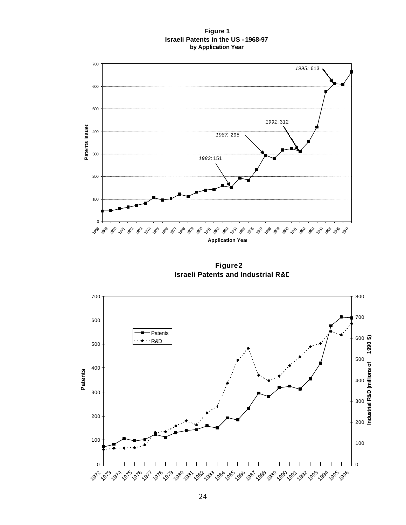**Figure 1 Israeli Patents in the US - 1968-97 by Application Year**



**Figure 2 Israeli Patents and Industrial R&D**

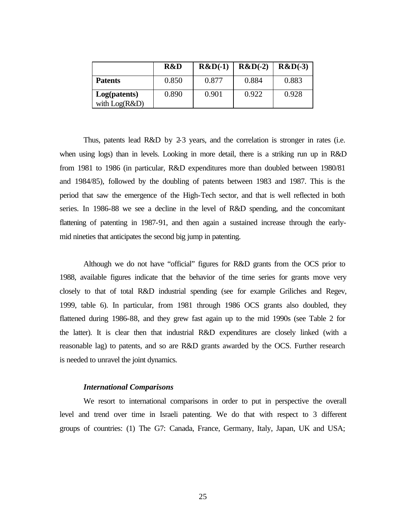|                 | R&D   | $R&D(-1)$ | $R&D(-2)$ | $R&D(-3)$ |
|-----------------|-------|-----------|-----------|-----------|
| <b>Patents</b>  | 0.850 | 0.877     | 0.884     | 0.883     |
| Log(patents)    | 0.890 | 0.901     | 0.922     | 0.928     |
| with $Log(R&D)$ |       |           |           |           |

Thus, patents lead  $R&D$  by 2-3 years, and the correlation is stronger in rates (i.e. when using logs) than in levels. Looking in more detail, there is a striking run up in R&D from 1981 to 1986 (in particular, R&D expenditures more than doubled between 1980/81 and 1984/85), followed by the doubling of patents between 1983 and 1987. This is the period that saw the emergence of the High-Tech sector, and that is well reflected in both series. In 1986-88 we see a decline in the level of R&D spending, and the concomitant flattening of patenting in 1987-91, and then again a sustained increase through the earlymid nineties that anticipates the second big jump in patenting.

Although we do not have "official" figures for R&D grants from the OCS prior to 1988, available figures indicate that the behavior of the time series for grants move very closely to that of total R&D industrial spending (see for example Griliches and Regev, 1999, table 6). In particular, from 1981 through 1986 OCS grants also doubled, they flattened during 1986-88, and they grew fast again up to the mid 1990s (see Table 2 for the latter). It is clear then that industrial R&D expenditures are closely linked (with a reasonable lag) to patents, and so are R&D grants awarded by the OCS. Further research is needed to unravel the joint dynamics.

#### *International Comparisons*

We resort to international comparisons in order to put in perspective the overall level and trend over time in Israeli patenting. We do that with respect to 3 different groups of countries: (1) The G7: Canada, France, Germany, Italy, Japan, UK and USA;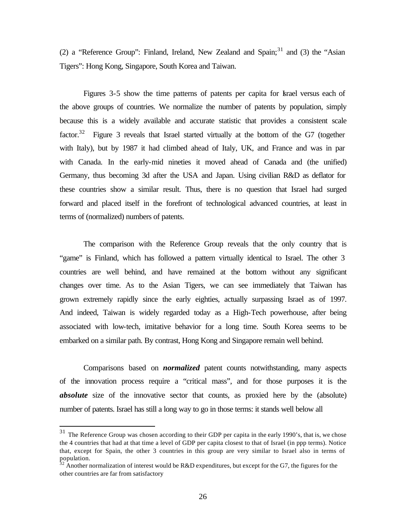(2) a "Reference Group": Finland, Ireland, New Zealand and Spain;  $31$  and (3) the "Asian Tigers": Hong Kong, Singapore, South Korea and Taiwan.

Figures 3-5 show the time patterns of patents per capita for krael versus each of the above groups of countries. We normalize the number of patents by population, simply because this is a widely available and accurate statistic that provides a consistent scale factor.<sup>32</sup> Figure 3 reveals that Israel started virtually at the bottom of the G7 (together with Italy), but by 1987 it had climbed ahead of Italy, UK, and France and was in par with Canada. In the early-mid nineties it moved ahead of Canada and (the unified) Germany, thus becoming 3d after the USA and Japan. Using civilian R&D as deflator for these countries show a similar result. Thus, there is no question that Israel had surged forward and placed itself in the forefront of technological advanced countries, at least in terms of (normalized) numbers of patents.

The comparison with the Reference Group reveals that the only country that is "game" is Finland, which has followed a pattern virtually identical to Israel. The other 3 countries are well behind, and have remained at the bottom without any significant changes over time. As to the Asian Tigers, we can see immediately that Taiwan has grown extremely rapidly since the early eighties, actually surpassing Israel as of 1997. And indeed, Taiwan is widely regarded today as a High-Tech powerhouse, after being associated with low-tech, imitative behavior for a long time. South Korea seems to be embarked on a similar path. By contrast, Hong Kong and Singapore remain well behind.

Comparisons based on *normalized* patent counts notwithstanding, many aspects of the innovation process require a "critical mass", and for those purposes it is the *absolute* size of the innovative sector that counts, as proxied here by the (absolute) number of patents. Israel has still a long way to go in those terms: it stands well below all

<sup>&</sup>lt;sup>31</sup> The Reference Group was chosen according to their GDP per capita in the early 1990's, that is, we chose the 4 countries that had at that time a level of GDP per capita closest to that of Israel (in ppp terms). Notice that, except for Spain, the other 3 countries in this group are very similar to Israel also in terms of population.

 $32$  Another normalization of interest would be R&D expenditures, but except for the G7, the figures for the other countries are far from satisfactory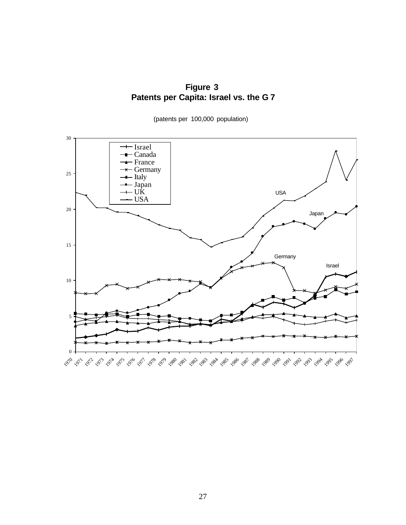

(patents per 100,000 population)

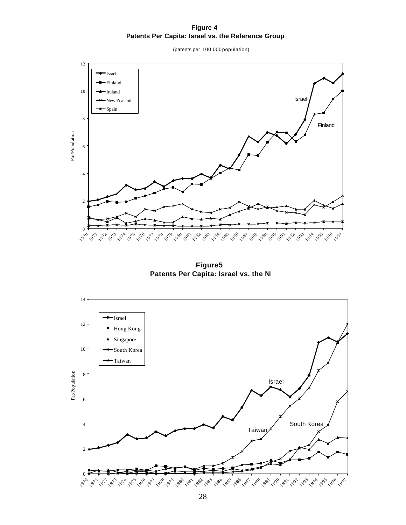#### **Figure 4 Patents Per Capita: Israel vs. the Reference Group**

(patents per 100,000 population)



**Figure 5 Patents Per Capita: Israel vs. the NI** 

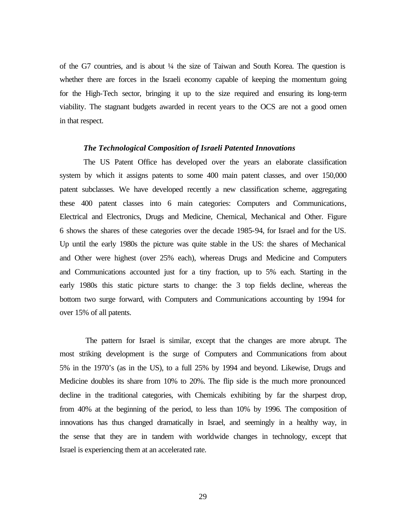of the G7 countries, and is about ¼ the size of Taiwan and South Korea. The question is whether there are forces in the Israeli economy capable of keeping the momentum going for the High-Tech sector, bringing it up to the size required and ensuring its long-term viability. The stagnant budgets awarded in recent years to the OCS are not a good omen in that respect.

#### *The Technological Composition of Israeli Patented Innovations*

The US Patent Office has developed over the years an elaborate classification system by which it assigns patents to some 400 main patent classes, and over 150,000 patent subclasses. We have developed recently a new classification scheme, aggregating these 400 patent classes into 6 main categories: Computers and Communications, Electrical and Electronics, Drugs and Medicine, Chemical, Mechanical and Other. Figure 6 shows the shares of these categories over the decade 1985-94, for Israel and for the US. Up until the early 1980s the picture was quite stable in the US: the shares of Mechanical and Other were highest (over 25% each), whereas Drugs and Medicine and Computers and Communications accounted just for a tiny fraction, up to 5% each. Starting in the early 1980s this static picture starts to change: the 3 top fields decline, whereas the bottom two surge forward, with Computers and Communications accounting by 1994 for over 15% of all patents.

 The pattern for Israel is similar, except that the changes are more abrupt. The most striking development is the surge of Computers and Communications from about 5% in the 1970's (as in the US), to a full 25% by 1994 and beyond. Likewise, Drugs and Medicine doubles its share from 10% to 20%. The flip side is the much more pronounced decline in the traditional categories, with Chemicals exhibiting by far the sharpest drop, from 40% at the beginning of the period, to less than 10% by 1996. The composition of innovations has thus changed dramatically in Israel, and seemingly in a healthy way, in the sense that they are in tandem with worldwide changes in technology, except that Israel is experiencing them at an accelerated rate.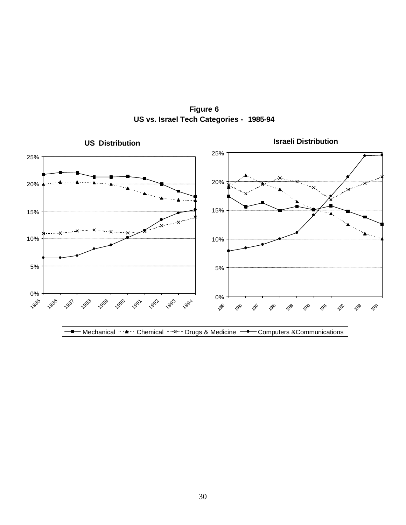

**Figure 6 US vs. Israel Tech Categories - 1985-94**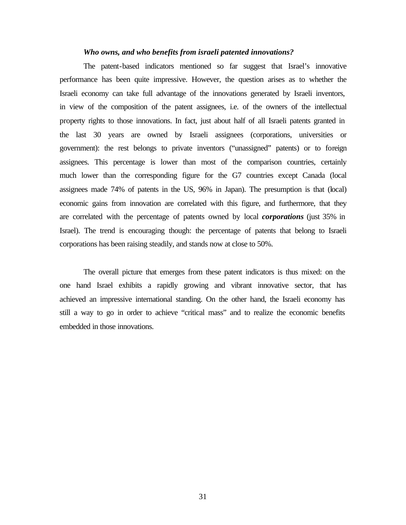#### *Who owns, and who benefits from israeli patented innovations?*

The patent-based indicators mentioned so far suggest that Israel's innovative performance has been quite impressive. However, the question arises as to whether the Israeli economy can take full advantage of the innovations generated by Israeli inventors, in view of the composition of the patent assignees, i.e. of the owners of the intellectual property rights to those innovations. In fact, just about half of all Israeli patents granted in the last 30 years are owned by Israeli assignees (corporations, universities or government): the rest belongs to private inventors ("unassigned" patents) or to foreign assignees. This percentage is lower than most of the comparison countries, certainly much lower than the corresponding figure for the G7 countries except Canada (local assignees made 74% of patents in the US, 96% in Japan). The presumption is that (local) economic gains from innovation are correlated with this figure, and furthermore, that they are correlated with the percentage of patents owned by local *corporations* (just 35% in Israel). The trend is encouraging though: the percentage of patents that belong to Israeli corporations has been raising steadily, and stands now at close to 50%.

The overall picture that emerges from these patent indicators is thus mixed: on the one hand Israel exhibits a rapidly growing and vibrant innovative sector, that has achieved an impressive international standing. On the other hand, the Israeli economy has still a way to go in order to achieve "critical mass" and to realize the economic benefits embedded in those innovations.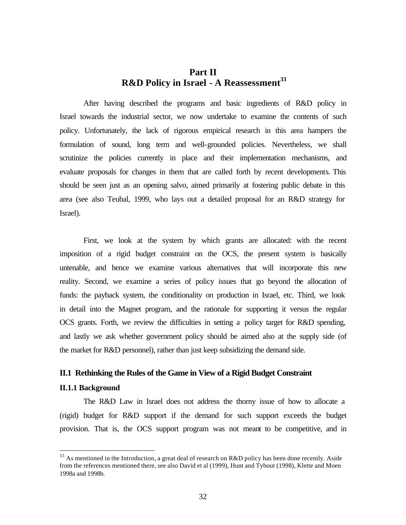## **Part II R&D Policy in Israel - A Reassessment<sup>33</sup>**

After having described the programs and basic ingredients of R&D policy in Israel towards the industrial sector, we now undertake to examine the contents of such policy. Unfortunately, the lack of rigorous empirical research in this area hampers the formulation of sound, long term and well-grounded policies. Nevertheless, we shall scrutinize the policies currently in place and their implementation mechanisms, and evaluate proposals for changes in them that are called forth by recent developments. This should be seen just as an opening salvo, aimed primarily at fostering public debate in this area (see also Teubal, 1999, who lays out a detailed proposal for an R&D strategy for Israel).

First, we look at the system by which grants are allocated: with the recent imposition of a rigid budget constraint on the OCS, the present system is basically untenable, and hence we examine various alternatives that will incorporate this new reality. Second, we examine a series of policy issues that go beyond the allocation of funds: the payback system, the conditionality on production in Israel, etc. Third, we look in detail into the Magnet program, and the rationale for supporting it versus the regular OCS grants. Forth, we review the difficulties in setting a policy target for R&D spending, and lastly we ask whether government policy should be aimed also at the supply side (of the market for R&D personnel), rather than just keep subsidizing the demand side.

#### **II.1 Rethinking the Rules of the Game in View of a Rigid Budget Constraint**

#### **II.1.1 Background**

 $\overline{a}$ 

The R&D Law in Israel does not address the thorny issue of how to allocate a (rigid) budget for R&D support if the demand for such support exceeds the budget provision. That is, the OCS support program was not meant to be competitive, and in

 $33$  As mentioned in the Introduction, a great deal of research on R&D policy has been done recently. Aside from the references mentioned there, see also David et al (1999), Hunt and Tybout (1998), Klette and Moen 1998a and 1998b.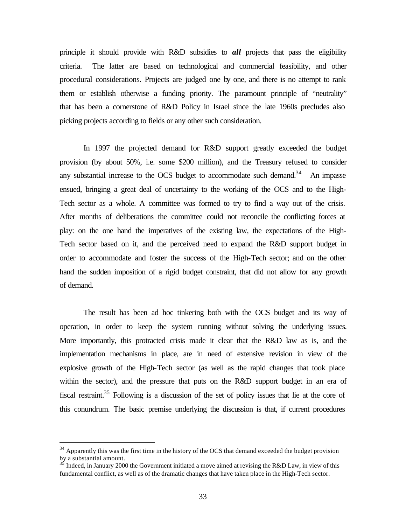principle it should provide with R&D subsidies to *all* projects that pass the eligibility criteria. The latter are based on technological and commercial feasibility, and other procedural considerations. Projects are judged one by one, and there is no attempt to rank them or establish otherwise a funding priority. The paramount principle of "neutrality" that has been a cornerstone of R&D Policy in Israel since the late 1960s precludes also picking projects according to fields or any other such consideration.

In 1997 the projected demand for R&D support greatly exceeded the budget provision (by about 50%, i.e. some \$200 million), and the Treasury refused to consider any substantial increase to the OCS budget to accommodate such demand.<sup>34</sup> An impasse ensued, bringing a great deal of uncertainty to the working of the OCS and to the High-Tech sector as a whole. A committee was formed to try to find a way out of the crisis. After months of deliberations the committee could not reconcile the conflicting forces at play: on the one hand the imperatives of the existing law, the expectations of the High-Tech sector based on it, and the perceived need to expand the R&D support budget in order to accommodate and foster the success of the High-Tech sector; and on the other hand the sudden imposition of a rigid budget constraint, that did not allow for any growth of demand.

The result has been ad hoc tinkering both with the OCS budget and its way of operation, in order to keep the system running without solving the underlying issues. More importantly, this protracted crisis made it clear that the R&D law as is, and the implementation mechanisms in place, are in need of extensive revision in view of the explosive growth of the High-Tech sector (as well as the rapid changes that took place within the sector), and the pressure that puts on the R&D support budget in an era of fiscal restraint.<sup>35</sup> Following is a discussion of the set of policy issues that lie at the core of this conundrum. The basic premise underlying the discussion is that, if current procedures

 $34$  Apparently this was the first time in the history of the OCS that demand exceeded the budget provision by a substantial amount.

<sup>&</sup>lt;sup>35</sup> Indeed, in January 2000 the Government initiated a move aimed at revising the R&D Law, in view of this fundamental conflict, as well as of the dramatic changes that have taken place in the High-Tech sector.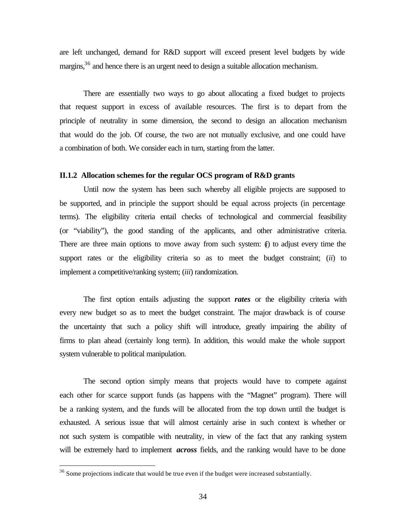are left unchanged, demand for R&D support will exceed present level budgets by wide margins,<sup>36</sup> and hence there is an urgent need to design a suitable allocation mechanism.

There are essentially two ways to go about allocating a fixed budget to projects that request support in excess of available resources. The first is to depart from the principle of neutrality in some dimension, the second to design an allocation mechanism that would do the job. Of course, the two are not mutually exclusive, and one could have a combination of both. We consider each in turn, starting from the latter.

#### **II.1.2 Allocation schemes for the regular OCS program of R&D grants**

Until now the system has been such whereby all eligible projects are supposed to be supported, and in principle the support should be equal across projects (in percentage terms). The eligibility criteria entail checks of technological and commercial feasibility (or "viability"), the good standing of the applicants, and other administrative criteria. There are three main options to move away from such system:  $(\hat{i})$  to adjust every time the support rates or the eligibility criteria so as to meet the budget constraint; (*ii*) to implement a competitive/ranking system; (*iii*) randomization.

The first option entails adjusting the support *rates* or the eligibility criteria with every new budget so as to meet the budget constraint. The major drawback is of course the uncertainty that such a policy shift will introduce, greatly impairing the ability of firms to plan ahead (certainly long term). In addition, this would make the whole support system vulnerable to political manipulation.

The second option simply means that projects would have to compete against each other for scarce support funds (as happens with the "Magnet" program). There will be a ranking system, and the funds will be allocated from the top down until the budget is exhausted. A serious issue that will almost certainly arise in such context is whether or not such system is compatible with neutrality, in view of the fact that any ranking system will be extremely hard to implement *across* fields, and the ranking would have to be done

<sup>&</sup>lt;sup>36</sup> Some projections indicate that would be true even if the budget were increased substantially.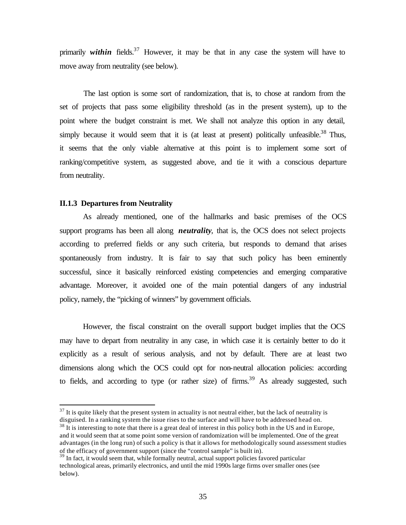primarily *within* fields.<sup>37</sup> However, it may be that in any case the system will have to move away from neutrality (see below).

The last option is some sort of randomization, that is, to chose at random from the set of projects that pass some eligibility threshold (as in the present system), up to the point where the budget constraint is met. We shall not analyze this option in any detail, simply because it would seem that it is (at least at present) politically unfeasible.<sup>38</sup> Thus, it seems that the only viable alternative at this point is to implement some sort of ranking/competitive system, as suggested above, and tie it with a conscious departure from neutrality.

#### **II.1.3 Departures from Neutrality**

 $\overline{a}$ 

As already mentioned, one of the hallmarks and basic premises of the OCS support programs has been all along *neutrality*, that is, the OCS does not select projects according to preferred fields or any such criteria, but responds to demand that arises spontaneously from industry. It is fair to say that such policy has been eminently successful, since it basically reinforced existing competencies and emerging comparative advantage. Moreover, it avoided one of the main potential dangers of any industrial policy, namely, the "picking of winners" by government officials.

However, the fiscal constraint on the overall support budget implies that the OCS may have to depart from neutrality in any case, in which case it is certainly better to do it explicitly as a result of serious analysis, and not by default. There are at least two dimensions along which the OCS could opt for non-neutral allocation policies: according to fields, and according to type (or rather size) of firms.<sup>39</sup> As already suggested, such

 $37$  It is quite likely that the present system in actuality is not neutral either, but the lack of neutrality is disguised. In a ranking system the issue rises to the surface and will have to be addressed head on.

 $38$  It is interesting to note that there is a great deal of interest in this policy both in the US and in Europe, and it would seem that at some point some version of randomization will be implemented. One of the great advantages (in the long run) of such a policy is that it allows for methodologically sound assessment studies of the efficacy of government support (since the "control sample" is built in).

<sup>&</sup>lt;sup>39</sup> In fact, it would seem that, while formally neutral, actual support policies favored particular technological areas, primarily electronics, and until the mid 1990s large firms over smaller ones (see below).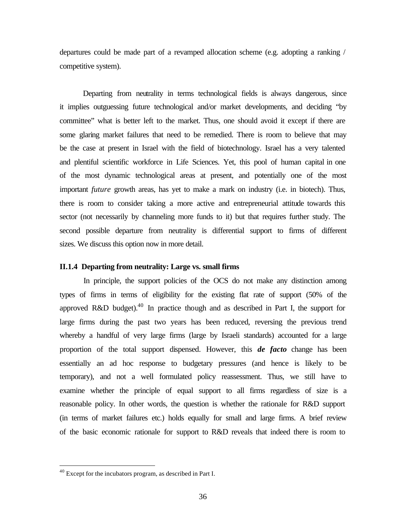departures could be made part of a revamped allocation scheme (e.g. adopting a ranking / competitive system).

Departing from neutrality in terms technological fields is always dangerous, since it implies outguessing future technological and/or market developments, and deciding "by committee" what is better left to the market. Thus, one should avoid it except if there are some glaring market failures that need to be remedied. There is room to believe that may be the case at present in Israel with the field of biotechnology. Israel has a very talented and plentiful scientific workforce in Life Sciences. Yet, this pool of human capital in one of the most dynamic technological areas at present, and potentially one of the most important *future* growth areas, has yet to make a mark on industry (i.e. in biotech). Thus, there is room to consider taking a more active and entrepreneurial attitude towards this sector (not necessarily by channeling more funds to it) but that requires further study. The second possible departure from neutrality is differential support to firms of different sizes. We discuss this option now in more detail.

#### **II.1.4 Departing from neutrality: Large vs. small firms**

In principle, the support policies of the OCS do not make any distinction among types of firms in terms of eligibility for the existing flat rate of support (50% of the approved R&D budget).<sup>40</sup> In practice though and as described in Part I, the support for large firms during the past two years has been reduced, reversing the previous trend whereby a handful of very large firms (large by Israeli standards) accounted for a large proportion of the total support dispensed. However, this *de facto* change has been essentially an ad hoc response to budgetary pressures (and hence is likely to be temporary), and not a well formulated policy reassessment. Thus, we still have to examine whether the principle of equal support to all firms regardless of size is a reasonable policy. In other words, the question is whether the rationale for R&D support (in terms of market failures etc.) holds equally for small and large firms. A brief review of the basic economic rationale for support to R&D reveals that indeed there is room to

<sup>40</sup> Except for the incubators program, as described in Part I.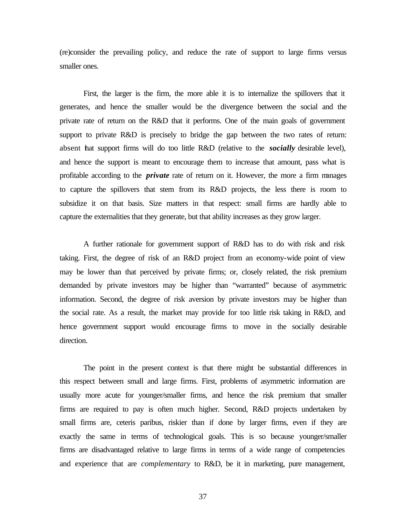(re)consider the prevailing policy, and reduce the rate of support to large firms versus smaller ones.

First, the larger is the firm, the more able it is to internalize the spillovers that it generates, and hence the smaller would be the divergence between the social and the private rate of return on the R&D that it performs. One of the main goals of government support to private R&D is precisely to bridge the gap between the two rates of return: absent that support firms will do too little R&D (relative to the *socially* desirable level), and hence the support is meant to encourage them to increase that amount, pass what is profitable according to the *private* rate of return on it. However, the more a firm manages to capture the spillovers that stem from its R&D projects, the less there is room to subsidize it on that basis. Size matters in that respect: small firms are hardly able to capture the externalities that they generate, but that ability increases as they grow larger.

A further rationale for government support of R&D has to do with risk and risk taking. First, the degree of risk of an R&D project from an economy-wide point of view may be lower than that perceived by private firms; or, closely related, the risk premium demanded by private investors may be higher than "warranted" because of asymmetric information. Second, the degree of risk aversion by private investors may be higher than the social rate. As a result, the market may provide for too little risk taking in R&D, and hence government support would encourage firms to move in the socially desirable direction.

The point in the present context is that there might be substantial differences in this respect between small and large firms. First, problems of asymmetric information are usually more acute for younger/smaller firms, and hence the risk premium that smaller firms are required to pay is often much higher. Second, R&D projects undertaken by small firms are, ceteris paribus, riskier than if done by larger firms, even if they are exactly the same in terms of technological goals. This is so because younger/smaller firms are disadvantaged relative to large firms in terms of a wide range of competencies and experience that are *complementary* to R&D, be it in marketing, pure management,

37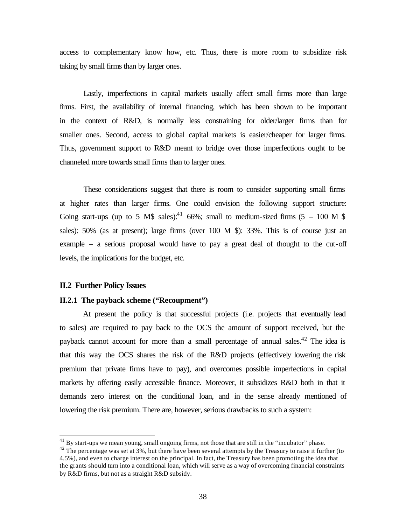access to complementary know how, etc. Thus, there is more room to subsidize risk taking by small firms than by larger ones.

Lastly, imperfections in capital markets usually affect small firms more than large firms. First, the availability of internal financing, which has been shown to be important in the context of R&D, is normally less constraining for older/larger firms than for smaller ones. Second, access to global capital markets is easier/cheaper for larger firms. Thus, government support to R&D meant to bridge over those imperfections ought to be channeled more towards small firms than to larger ones.

These considerations suggest that there is room to consider supporting small firms at higher rates than larger firms. One could envision the following support structure: Going start-ups (up to 5 M\$ sales):<sup>41</sup> 66%; small to medium-sized firms  $(5 - 100 M \text{ s})$ sales): 50% (as at present); large firms (over 100 M \$): 33%. This is of course just an example – a serious proposal would have to pay a great deal of thought to the cut-off levels, the implications for the budget, etc.

#### **II.2 Further Policy Issues**

 $\overline{a}$ 

#### **II.2.1 The payback scheme ("Recoupment")**

At present the policy is that successful projects (i.e. projects that eventually lead to sales) are required to pay back to the OCS the amount of support received, but the payback cannot account for more than a small percentage of annual sales.<sup>42</sup> The idea is that this way the OCS shares the risk of the R&D projects (effectively lowering the risk premium that private firms have to pay), and overcomes possible imperfections in capital markets by offering easily accessible finance. Moreover, it subsidizes R&D both in that it demands zero interest on the conditional loan, and in the sense already mentioned of lowering the risk premium. There are, however, serious drawbacks to such a system:

 $41$  By start-ups we mean young, small ongoing firms, not those that are still in the "incubator" phase.

 $42$  The percentage was set at 3%, but there have been several attempts by the Treasury to raise it further (to 4.5%), and even to charge interest on the principal. In fact, the Treasury has been promoting the idea that the grants should turn into a conditional loan, which will serve as a way of overcoming financial constraints by R&D firms, but not as a straight R&D subsidy.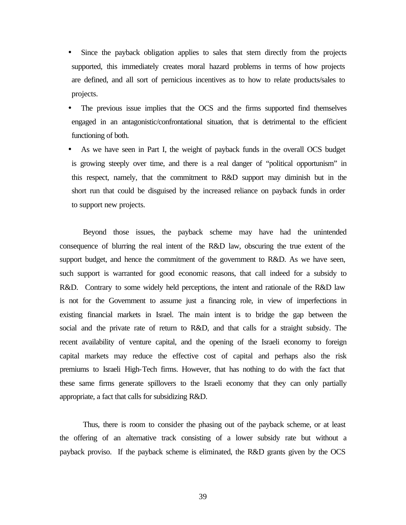- Since the payback obligation applies to sales that stem directly from the projects supported, this immediately creates moral hazard problems in terms of how projects are defined, and all sort of pernicious incentives as to how to relate products/sales to projects.
- The previous issue implies that the OCS and the firms supported find themselves engaged in an antagonistic/confrontational situation, that is detrimental to the efficient functioning of both.
- As we have seen in Part I, the weight of payback funds in the overall OCS budget is growing steeply over time, and there is a real danger of "political opportunism" in this respect, namely, that the commitment to R&D support may diminish but in the short run that could be disguised by the increased reliance on payback funds in order to support new projects.

Beyond those issues, the payback scheme may have had the unintended consequence of blurring the real intent of the R&D law, obscuring the true extent of the support budget, and hence the commitment of the government to R&D. As we have seen, such support is warranted for good economic reasons, that call indeed for a subsidy to R&D. Contrary to some widely held perceptions, the intent and rationale of the R&D law is not for the Government to assume just a financing role, in view of imperfections in existing financial markets in Israel. The main intent is to bridge the gap between the social and the private rate of return to R&D, and that calls for a straight subsidy. The recent availability of venture capital, and the opening of the Israeli economy to foreign capital markets may reduce the effective cost of capital and perhaps also the risk premiums to Israeli High-Tech firms. However, that has nothing to do with the fact that these same firms generate spillovers to the Israeli economy that they can only partially appropriate, a fact that calls for subsidizing R&D.

Thus, there is room to consider the phasing out of the payback scheme, or at least the offering of an alternative track consisting of a lower subsidy rate but without a payback proviso. If the payback scheme is eliminated, the R&D grants given by the OCS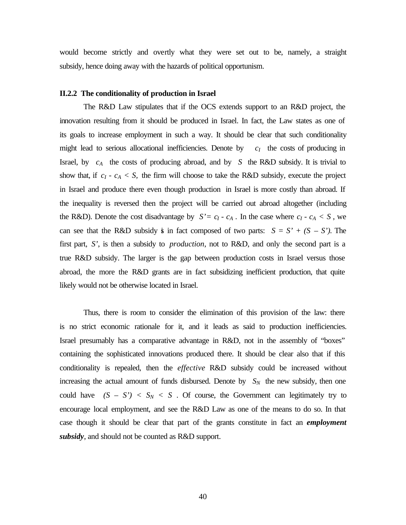would become strictly and overtly what they were set out to be, namely, a straight subsidy, hence doing away with the hazards of political opportunism.

#### **II.2.2 The conditionality of production in Israel**

The R&D Law stipulates that if the OCS extends support to an R&D project, the innovation resulting from it should be produced in Israel. In fact, the Law states as one of its goals to increase employment in such a way. It should be clear that such conditionality might lead to serious allocational inefficiencies. Denote by  $c_I$  the costs of producing in Israel, by *cA* the costs of producing abroad, and by *S* the R&D subsidy. It is trivial to show that, if  $c_I$  -  $c_A$  < S, the firm will choose to take the R&D subsidy, execute the project in Israel and produce there even though production in Israel is more costly than abroad. If the inequality is reversed then the project will be carried out abroad altogether (including the R&D). Denote the cost disadvantage by  $S' = c_I - c_A$ . In the case where  $c_I - c_A < S$ , we can see that the R&D subsidy is in fact composed of two parts:  $S = S' + (S - S')$ . The first part, *S'*, is then a subsidy to *production*, not to R&D, and only the second part is a true R&D subsidy. The larger is the gap between production costs in Israel versus those abroad, the more the R&D grants are in fact subsidizing inefficient production, that quite likely would not be otherwise located in Israel.

Thus, there is room to consider the elimination of this provision of the law: there is no strict economic rationale for it, and it leads as said to production inefficiencies. Israel presumably has a comparative advantage in R&D, not in the assembly of "boxes" containing the sophisticated innovations produced there. It should be clear also that if this conditionality is repealed, then the *effective* R&D subsidy could be increased without increasing the actual amount of funds disbursed. Denote by  $S_N$  the new subsidy, then one could have  $(S - S') < S_N < S$ . Of course, the Government can legitimately try to encourage local employment, and see the R&D Law as one of the means to do so. In that case though it should be clear that part of the grants constitute in fact an *employment subsidy*, and should not be counted as R&D support.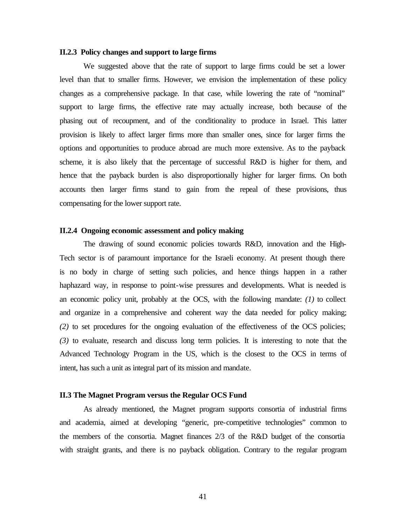#### **II.2.3 Policy changes and support to large firms**

We suggested above that the rate of support to large firms could be set a lower level than that to smaller firms. However, we envision the implementation of these policy changes as a comprehensive package. In that case, while lowering the rate of "nominal" support to large firms, the effective rate may actually increase, both because of the phasing out of recoupment, and of the conditionality to produce in Israel. This latter provision is likely to affect larger firms more than smaller ones, since for larger firms the options and opportunities to produce abroad are much more extensive. As to the payback scheme, it is also likely that the percentage of successful R&D is higher for them, and hence that the payback burden is also disproportionally higher for larger firms. On both accounts then larger firms stand to gain from the repeal of these provisions, thus compensating for the lower support rate.

#### **II.2.4 Ongoing economic assessment and policy making**

The drawing of sound economic policies towards R&D, innovation and the High-Tech sector is of paramount importance for the Israeli economy. At present though there is no body in charge of setting such policies, and hence things happen in a rather haphazard way, in response to point-wise pressures and developments. What is needed is an economic policy unit, probably at the OCS, with the following mandate: *(1)* to collect and organize in a comprehensive and coherent way the data needed for policy making; *(2)* to set procedures for the ongoing evaluation of the effectiveness of the OCS policies; *(3)* to evaluate, research and discuss long term policies. It is interesting to note that the Advanced Technology Program in the US, which is the closest to the OCS in terms of intent, has such a unit as integral part of its mission and mandate.

#### **II.3 The Magnet Program versus the Regular OCS Fund**

As already mentioned, the Magnet program supports consortia of industrial firms and academia, aimed at developing "generic, pre-competitive technologies" common to the members of the consortia. Magnet finances 2/3 of the R&D budget of the consortia with straight grants, and there is no payback obligation. Contrary to the regular program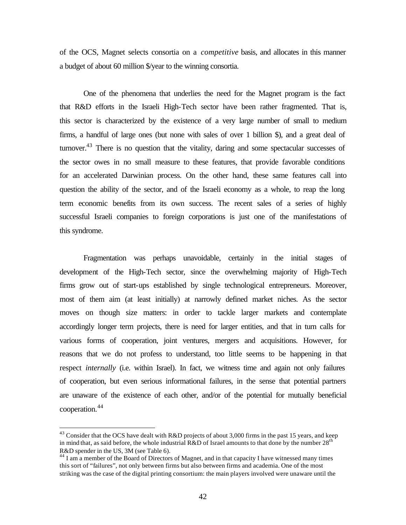of the OCS, Magnet selects consortia on a *competitive* basis, and allocates in this manner a budget of about 60 million \$/year to the winning consortia.

One of the phenomena that underlies the need for the Magnet program is the fact that R&D efforts in the Israeli High-Tech sector have been rather fragmented. That is, this sector is characterized by the existence of a very large number of small to medium firms, a handful of large ones (but none with sales of over 1 billion \$), and a great deal of turnover.<sup>43</sup> There is no question that the vitality, daring and some spectacular successes of the sector owes in no small measure to these features, that provide favorable conditions for an accelerated Darwinian process. On the other hand, these same features call into question the ability of the sector, and of the Israeli economy as a whole, to reap the long term economic benefits from its own success. The recent sales of a series of highly successful Israeli companies to foreign corporations is just one of the manifestations of this syndrome.

Fragmentation was perhaps unavoidable, certainly in the initial stages of development of the High-Tech sector, since the overwhelming majority of High-Tech firms grow out of start-ups established by single technological entrepreneurs. Moreover, most of them aim (at least initially) at narrowly defined market niches. As the sector moves on though size matters: in order to tackle larger markets and contemplate accordingly longer term projects, there is need for larger entities, and that in turn calls for various forms of cooperation, joint ventures, mergers and acquisitions. However, for reasons that we do not profess to understand, too little seems to be happening in that respect *internally* (i.e. within Israel). In fact, we witness time and again not only failures of cooperation, but even serious informational failures, in the sense that potential partners are unaware of the existence of each other, and/or of the potential for mutually beneficial cooperation.<sup>44</sup>

<sup>&</sup>lt;sup>43</sup> Consider that the OCS have dealt with R&D projects of about 3,000 firms in the past 15 years, and keep in mind that, as said before, the whole industrial  $R&D$  of Israel amounts to that done by the number  $28<sup>th</sup>$ R&D spender in the US, 3M (see Table 6).

<sup>&</sup>lt;sup>44</sup> I am a member of the Board of Directors of Magnet, and in that capacity I have witnessed many times this sort of "failures", not only between firms but also between firms and academia. One of the most striking was the case of the digital printing consortium: the main players involved were unaware until the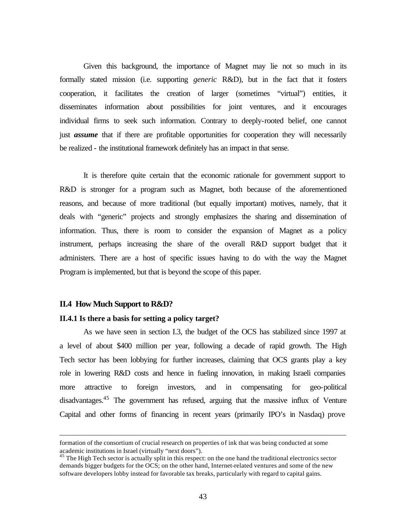Given this background, the importance of Magnet may lie not so much in its formally stated mission (i.e. supporting *generic* R&D), but in the fact that it fosters cooperation, it facilitates the creation of larger (sometimes "virtual") entities, it disseminates information about possibilities for joint ventures, and it encourages individual firms to seek such information. Contrary to deeply-rooted belief, one cannot just *assume* that if there are profitable opportunities for cooperation they will necessarily be realized - the institutional framework definitely has an impact in that sense.

It is therefore quite certain that the economic rationale for government support to R&D is stronger for a program such as Magnet, both because of the aforementioned reasons, and because of more traditional (but equally important) motives, namely, that it deals with "generic" projects and strongly emphasizes the sharing and dissemination of information. Thus, there is room to consider the expansion of Magnet as a policy instrument, perhaps increasing the share of the overall R&D support budget that it administers. There are a host of specific issues having to do with the way the Magnet Program is implemented, but that is beyond the scope of this paper.

#### **II.4 How Much Support to R&D?**

 $\overline{a}$ 

#### **II.4.1 Is there a basis for setting a policy target?**

As we have seen in section I.3, the budget of the OCS has stabilized since 1997 at a level of about \$400 million per year, following a decade of rapid growth. The High Tech sector has been lobbying for further increases, claiming that OCS grants play a key role in lowering R&D costs and hence in fueling innovation, in making Israeli companies more attractive to foreign investors, and in compensating for geo-political disadvantages.<sup>45</sup> The government has refused, arguing that the massive influx of Venture Capital and other forms of financing in recent years (primarily IPO's in Nasdaq) prove

formation of the consortium of crucial research on properties of ink that was being conducted at some academic institutions in Israel (virtually "next doors").

<sup>&</sup>lt;sup>45</sup> The High Tech sector is actually split in this respect: on the one hand the traditional electronics sector demands bigger budgets for the OCS; on the other hand, Internet-related ventures and some of the new software developers lobby instead for favorable tax breaks, particularly with regard to capital gains.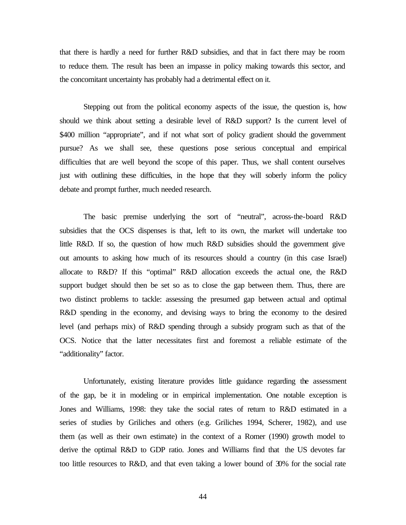that there is hardly a need for further R&D subsidies, and that in fact there may be room to reduce them. The result has been an impasse in policy making towards this sector, and the concomitant uncertainty has probably had a detrimental effect on it.

Stepping out from the political economy aspects of the issue, the question is, how should we think about setting a desirable level of R&D support? Is the current level of \$400 million "appropriate", and if not what sort of policy gradient should the government pursue? As we shall see, these questions pose serious conceptual and empirical difficulties that are well beyond the scope of this paper. Thus, we shall content ourselves just with outlining these difficulties, in the hope that they will soberly inform the policy debate and prompt further, much needed research.

The basic premise underlying the sort of "neutral", across-the-board R&D subsidies that the OCS dispenses is that, left to its own, the market will undertake too little R&D. If so, the question of how much R&D subsidies should the government give out amounts to asking how much of its resources should a country (in this case Israel) allocate to R&D? If this "optimal" R&D allocation exceeds the actual one, the R&D support budget should then be set so as to close the gap between them. Thus, there are two distinct problems to tackle: assessing the presumed gap between actual and optimal R&D spending in the economy, and devising ways to bring the economy to the desired level (and perhaps mix) of R&D spending through a subsidy program such as that of the OCS. Notice that the latter necessitates first and foremost a reliable estimate of the "additionality" factor.

Unfortunately, existing literature provides little guidance regarding the assessment of the gap, be it in modeling or in empirical implementation. One notable exception is Jones and Williams, 1998: they take the social rates of return to R&D estimated in a series of studies by Griliches and others (e.g. Griliches 1994, Scherer, 1982), and use them (as well as their own estimate) in the context of a Romer (1990) growth model to derive the optimal R&D to GDP ratio. Jones and Williams find that the US devotes far too little resources to R&D, and that even taking a lower bound of 30% for the social rate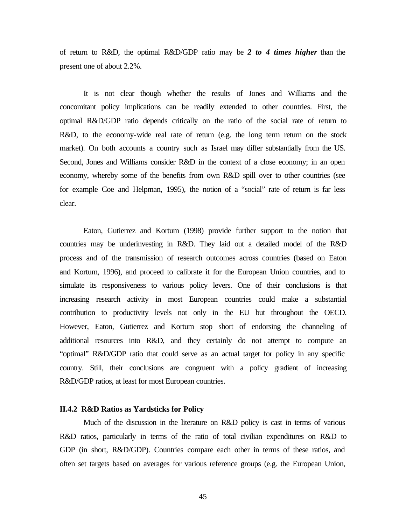of return to R&D, the optimal R&D/GDP ratio may be *2 to 4 times higher* than the present one of about 2.2%.

It is not clear though whether the results of Jones and Williams and the concomitant policy implications can be readily extended to other countries. First, the optimal R&D/GDP ratio depends critically on the ratio of the social rate of return to R&D, to the economy-wide real rate of return (e.g. the long term return on the stock market). On both accounts a country such as Israel may differ substantially from the US. Second, Jones and Williams consider R&D in the context of a close economy; in an open economy, whereby some of the benefits from own R&D spill over to other countries (see for example Coe and Helpman, 1995), the notion of a "social" rate of return is far less clear.

Eaton, Gutierrez and Kortum (1998) provide further support to the notion that countries may be underinvesting in R&D. They laid out a detailed model of the R&D process and of the transmission of research outcomes across countries (based on Eaton and Kortum, 1996), and proceed to calibrate it for the European Union countries, and to simulate its responsiveness to various policy levers. One of their conclusions is that increasing research activity in most European countries could make a substantial contribution to productivity levels not only in the EU but throughout the OECD. However, Eaton, Gutierrez and Kortum stop short of endorsing the channeling of additional resources into R&D, and they certainly do not attempt to compute an "optimal" R&D/GDP ratio that could serve as an actual target for policy in any specific country. Still, their conclusions are congruent with a policy gradient of increasing R&D/GDP ratios, at least for most European countries.

#### **II.4.2 R&D Ratios as Yardsticks for Policy**

Much of the discussion in the literature on R&D policy is cast in terms of various R&D ratios, particularly in terms of the ratio of total civilian expenditures on R&D to GDP (in short, R&D/GDP). Countries compare each other in terms of these ratios, and often set targets based on averages for various reference groups (e.g. the European Union,

45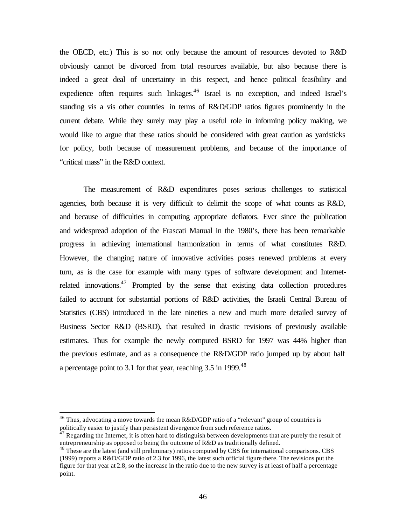the OECD, etc.) This is so not only because the amount of resources devoted to R&D obviously cannot be divorced from total resources available, but also because there is indeed a great deal of uncertainty in this respect, and hence political feasibility and expedience often requires such linkages.<sup>46</sup> Israel is no exception, and indeed Israel's standing vis a vis other countries in terms of R&D/GDP ratios figures prominently in the current debate. While they surely may play a useful role in informing policy making, we would like to argue that these ratios should be considered with great caution as yardsticks for policy, both because of measurement problems, and because of the importance of "critical mass" in the R&D context.

The measurement of R&D expenditures poses serious challenges to statistical agencies, both because it is very difficult to delimit the scope of what counts as R&D, and because of difficulties in computing appropriate deflators. Ever since the publication and widespread adoption of the Frascati Manual in the 1980's, there has been remarkable progress in achieving international harmonization in terms of what constitutes R&D. However, the changing nature of innovative activities poses renewed problems at every turn, as is the case for example with many types of software development and Internetrelated innovations.<sup>47</sup> Prompted by the sense that existing data collection procedures failed to account for substantial portions of R&D activities, the Israeli Central Bureau of Statistics (CBS) introduced in the late nineties a new and much more detailed survey of Business Sector R&D (BSRD), that resulted in drastic revisions of previously available estimates. Thus for example the newly computed BSRD for 1997 was 44% higher than the previous estimate, and as a consequence the R&D/GDP ratio jumped up by about half a percentage point to 3.1 for that year, reaching 3.5 in 1999.<sup>48</sup>

 $46$  Thus, advocating a move towards the mean R&D/GDP ratio of a "relevant" group of countries is politically easier to justify than persistent divergence from such reference ratios.

<sup>47</sup> Regarding the Internet, it is often hard to distinguish between developments that are purely the result of entrepreneurship as opposed to being the outcome of R&D as traditionally defined.

<sup>&</sup>lt;sup>48</sup> These are the latest (and still preliminary) ratios computed by CBS for international comparisons. CBS (1999) reports a R&D/GDP ratio of 2.3 for 1996, the latest such official figure there. The revisions put the figure for that year at 2.8, so the increase in the ratio due to the new survey is at least of half a percentage point.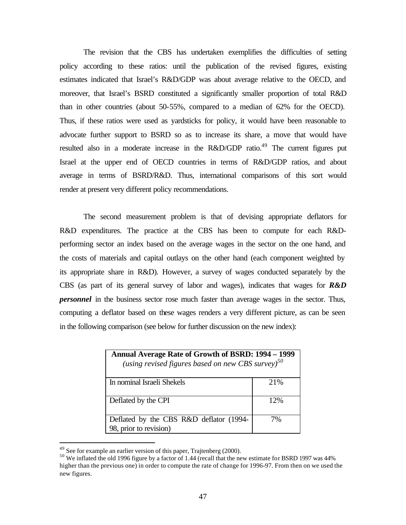The revision that the CBS has undertaken exemplifies the difficulties of setting policy according to these ratios: until the publication of the revised figures, existing estimates indicated that Israel's R&D/GDP was about average relative to the OECD, and moreover, that Israel's BSRD constituted a significantly smaller proportion of total R&D than in other countries (about 50-55%, compared to a median of 62% for the OECD). Thus, if these ratios were used as yardsticks for policy, it would have been reasonable to advocate further support to BSRD so as to increase its share, a move that would have resulted also in a moderate increase in the  $R&D/GDP$  ratio.<sup>49</sup> The current figures put Israel at the upper end of OECD countries in terms of R&D/GDP ratios, and about average in terms of BSRD/R&D. Thus, international comparisons of this sort would render at present very different policy recommendations.

The second measurement problem is that of devising appropriate deflators for R&D expenditures. The practice at the CBS has been to compute for each R&Dperforming sector an index based on the average wages in the sector on the one hand, and the costs of materials and capital outlays on the other hand (each component weighted by its appropriate share in R&D). However, a survey of wages conducted separately by the CBS (as part of its general survey of labor and wages), indicates that wages for *R&D personnel* in the business sector rose much faster than average wages in the sector. Thus, computing a deflator based on these wages renders a very different picture, as can be seen in the following comparison (see below for further discussion on the new index):

| Annual Average Rate of Growth of BSRD: 1994 - 1999<br>(using revised figures based on new CBS survey) $50$ |     |  |  |
|------------------------------------------------------------------------------------------------------------|-----|--|--|
| In nominal Israeli Shekels                                                                                 | 21% |  |  |
| Deflated by the CPI                                                                                        | 12% |  |  |
| Deflated by the CBS R&D deflator (1994-<br>98, prior to revision)                                          | 7%  |  |  |

 $49$  See for example an earlier version of this paper, Trajtenberg (2000).

<sup>&</sup>lt;sup>50</sup> We inflated the old 1996 figure by a factor of 1.44 (recall that the new estimate for BSRD 1997 was 44% higher than the previous one) in order to compute the rate of change for 1996-97. From then on we used the new figures.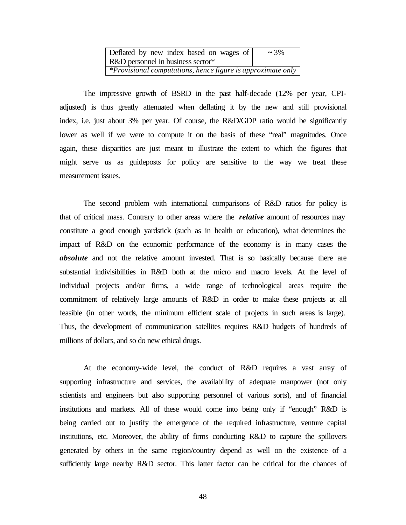| Deflated by new index based on wages of                     | $\sim$ 3% |  |
|-------------------------------------------------------------|-----------|--|
| R&D personnel in business sector*                           |           |  |
| *Provisional computations, hence figure is approximate only |           |  |

The impressive growth of BSRD in the past half-decade (12% per year, CPIadjusted) is thus greatly attenuated when deflating it by the new and still provisional index, i.e. just about 3% per year. Of course, the R&D/GDP ratio would be significantly lower as well if we were to compute it on the basis of these "real" magnitudes. Once again, these disparities are just meant to illustrate the extent to which the figures that might serve us as guideposts for policy are sensitive to the way we treat these measurement issues.

The second problem with international comparisons of R&D ratios for policy is that of critical mass. Contrary to other areas where the *relative* amount of resources may constitute a good enough yardstick (such as in health or education), what determines the impact of R&D on the economic performance of the economy is in many cases the *absolute* and not the relative amount invested. That is so basically because there are substantial indivisibilities in R&D both at the micro and macro levels. At the level of individual projects and/or firms, a wide range of technological areas require the commitment of relatively large amounts of R&D in order to make these projects at all feasible (in other words, the minimum efficient scale of projects in such areas is large). Thus, the development of communication satellites requires R&D budgets of hundreds of millions of dollars, and so do new ethical drugs.

At the economy-wide level, the conduct of R&D requires a vast array of supporting infrastructure and services, the availability of adequate manpower (not only scientists and engineers but also supporting personnel of various sorts), and of financial institutions and markets. All of these would come into being only if "enough" R&D is being carried out to justify the emergence of the required infrastructure, venture capital institutions, etc. Moreover, the ability of firms conducting R&D to capture the spillovers generated by others in the same region/country depend as well on the existence of a sufficiently large nearby R&D sector. This latter factor can be critical for the chances of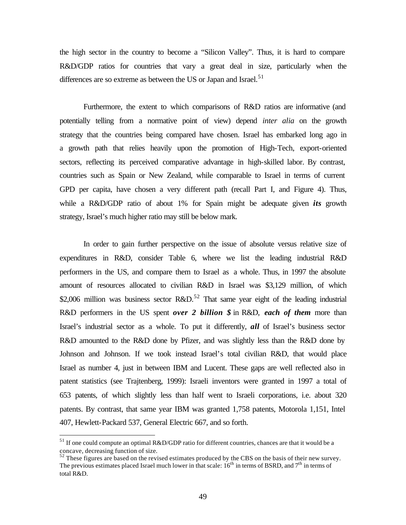the high sector in the country to become a "Silicon Valley". Thus, it is hard to compare R&D/GDP ratios for countries that vary a great deal in size, particularly when the differences are so extreme as between the US or Japan and Israel.<sup>51</sup>

Furthermore, the extent to which comparisons of R&D ratios are informative (and potentially telling from a normative point of view) depend *inter alia* on the growth strategy that the countries being compared have chosen. Israel has embarked long ago in a growth path that relies heavily upon the promotion of High-Tech, export-oriented sectors, reflecting its perceived comparative advantage in high-skilled labor. By contrast, countries such as Spain or New Zealand, while comparable to Israel in terms of current GPD per capita, have chosen a very different path (recall Part I, and Figure 4). Thus, while a R&D/GDP ratio of about 1% for Spain might be adequate given *its* growth strategy, Israel's much higher ratio may still be below mark.

In order to gain further perspective on the issue of absolute versus relative size of expenditures in R&D, consider Table 6, where we list the leading industrial R&D performers in the US, and compare them to Israel as a whole. Thus, in 1997 the absolute amount of resources allocated to civilian R&D in Israel was \$3,129 million, of which \$2,006 million was business sector  $R&D<sup>52</sup>$  That same year eight of the leading industrial R&D performers in the US spent *over 2 billion \$* in R&D, *each of them* more than Israel's industrial sector as a whole. To put it differently, *all* of Israel's business sector R&D amounted to the R&D done by Pfizer, and was slightly less than the R&D done by Johnson and Johnson. If we took instead Israel's total civilian R&D, that would place Israel as number 4, just in between IBM and Lucent. These gaps are well reflected also in patent statistics (see Trajtenberg, 1999): Israeli inventors were granted in 1997 a total of 653 patents, of which slightly less than half went to Israeli corporations, i.e. about 320 patents. By contrast, that same year IBM was granted 1,758 patents, Motorola 1,151, Intel 407, Hewlett-Packard 537, General Electric 667, and so forth.

<sup>&</sup>lt;sup>51</sup> If one could compute an optimal R&D/GDP ratio for different countries, chances are that it would be a concave, decreasing function of size.

 $52$  These figures are based on the revised estimates produced by the CBS on the basis of their new survey. The previous estimates placed Israel much lower in that scale:  $16<sup>th</sup>$  in terms of BSRD, and  $7<sup>th</sup>$  in terms of total R&D.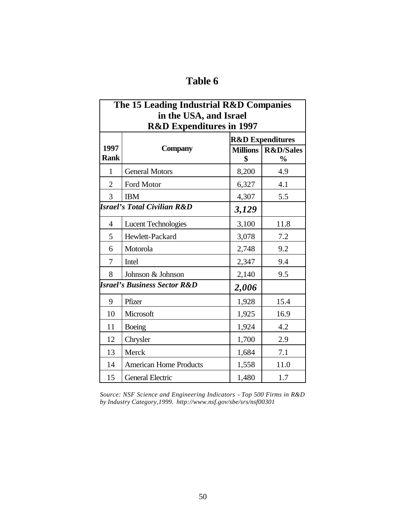## **Table 6**

| The 15 Leading Industrial R&D Companies<br>in the USA, and Israel |                                         |                       |                                       |  |  |  |
|-------------------------------------------------------------------|-----------------------------------------|-----------------------|---------------------------------------|--|--|--|
|                                                                   | <b>R&amp;D Expenditures in 1997</b>     |                       |                                       |  |  |  |
|                                                                   |                                         |                       | <b>R&amp;D Expenditures</b>           |  |  |  |
| 1997<br><b>Rank</b>                                               | <b>Company</b>                          | <b>Millions</b><br>\$ | <b>R&amp;D/Sales</b><br>$\frac{0}{0}$ |  |  |  |
| $\mathbf{1}$                                                      | <b>General Motors</b>                   | 8,200                 | 4.9                                   |  |  |  |
| $\overline{2}$                                                    | Ford Motor                              | 6,327                 | 4.1                                   |  |  |  |
| 3                                                                 | <b>IBM</b>                              | 4,307                 | 5.5                                   |  |  |  |
|                                                                   | <b>Israel's Total Civilian R&amp;D</b>  | 3,129                 |                                       |  |  |  |
| $\overline{4}$                                                    | <b>Lucent Technologies</b>              | 3,100                 | 11.8                                  |  |  |  |
| 5                                                                 | Hewlett-Packard                         | 3,078                 | 7.2                                   |  |  |  |
| 6                                                                 | Motorola                                | 2,748                 | 9.2                                   |  |  |  |
| 7                                                                 | Intel                                   | 2,347                 | 9.4                                   |  |  |  |
| 8                                                                 | Johnson & Johnson                       | 2,140                 | 9.5                                   |  |  |  |
|                                                                   | <b>Israel's Business Sector R&amp;D</b> | 2,006                 |                                       |  |  |  |
| 9                                                                 | Pfizer                                  | 1,928                 | 15.4                                  |  |  |  |
| 10                                                                | Microsoft                               | 1,925                 | 16.9                                  |  |  |  |
| 11                                                                | <b>Boeing</b>                           | 1,924                 | 4.2                                   |  |  |  |
| 12                                                                | Chrysler                                | 1,700                 | 2.9                                   |  |  |  |
| 13                                                                | Merck                                   | 1,684                 | 7.1                                   |  |  |  |
| 14                                                                | <b>American Home Products</b>           | 1,558                 | 11.0                                  |  |  |  |
| 15                                                                | <b>General Electric</b>                 | 1,480                 | 1.7                                   |  |  |  |

*Source: NSF Science and Engineering Indicators - Top 500 Firms in R&D by Industry Category,1999. http://www.nsf.gov/sbe/srs/nsf00301*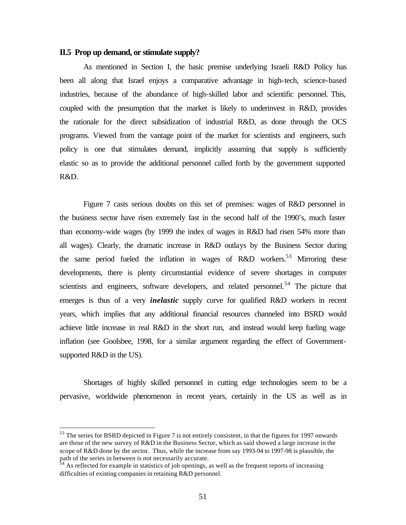#### **II.5 Prop up demand, or stimulate supply?**

As mentioned in Section I, the basic premise underlying Israeli R&D Policy has been all along that Israel enjoys a comparative advantage in high-tech, science-based industries, because of the abundance of high-skilled labor and scientific personnel. This, coupled with the presumption that the market is likely to underinvest in R&D, provides the rationale for the direct subsidization of industrial R&D, as done through the OCS programs. Viewed from the vantage point of the market for scientists and engineers, such policy is one that stimulates demand, implicitly assuming that supply is sufficiently elastic so as to provide the additional personnel called forth by the government supported R&D.

Figure 7 casts serious doubts on this set of premises: wages of R&D personnel in the business sector have risen extremely fast in the second half of the 1990's, much faster than economy-wide wages (by 1999 the index of wages in R&D had risen 54% more than all wages). Clearly, the dramatic increase in R&D outlays by the Business Sector during the same period fueled the inflation in wages of  $R&D$  workers.<sup>53</sup> Mirroring these developments, there is plenty circumstantial evidence of severe shortages in computer scientists and engineers, software developers, and related personnel.<sup>54</sup> The picture that emerges is thus of a very *inelastic* supply curve for qualified R&D workers in recent years, which implies that any additional financial resources channeled into BSRD would achieve little increase in real R&D in the short run, and instead would keep fueling wage inflation (see Goolsbee, 1998, for a similar argument regarding the effect of Governmentsupported R&D in the US).

Shortages of highly skilled personnel in cutting edge technologies seem to be a pervasive, worldwide phenomenon in recent years, certainly in the US as well as in

 $53$  The series for BSRD depicted in Figure 7 is not entirely consistent, in that the figures for 1997 onwards are those of the new survey of R&D in the Business Sector, which as said showed a large increase in the scope of R&D done by the sector. Thus, while the increase from say 1993-94 to 1997-98 is plausible, the path of the series in between is not necessarily accurate.

 $54$  As reflected for example in statistics of job openings, as well as the frequent reports of increasing difficulties of existing companies in retaining R&D personnel.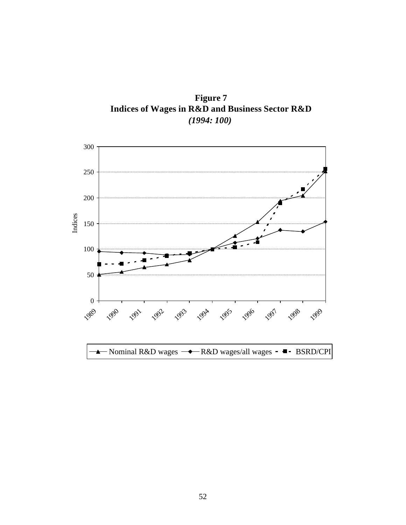**Figure 7 Indices of Wages in R&D and Business Sector R&D** *(1994: 100)*

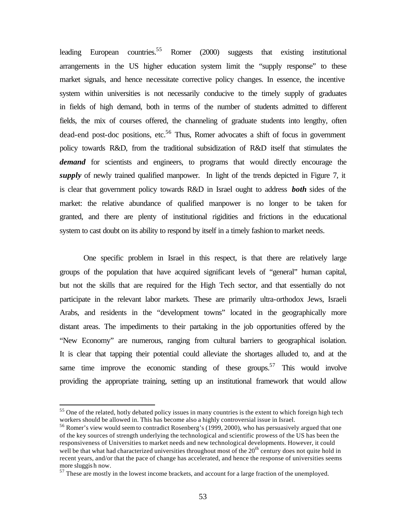leading European countries.<sup>55</sup> Romer (2000) suggests that existing institutional arrangements in the US higher education system limit the "supply response" to these market signals, and hence necessitate corrective policy changes. In essence, the incentive system within universities is not necessarily conducive to the timely supply of graduates in fields of high demand, both in terms of the number of students admitted to different fields, the mix of courses offered, the channeling of graduate students into lengthy, often dead-end post-doc positions, etc.<sup>56</sup> Thus, Romer advocates a shift of focus in government policy towards R&D, from the traditional subsidization of R&D itself that stimulates the *demand* for scientists and engineers, to programs that would directly encourage the *supply* of newly trained qualified manpower. In light of the trends depicted in Figure 7, it is clear that government policy towards R&D in Israel ought to address *both* sides of the market: the relative abundance of qualified manpower is no longer to be taken for granted, and there are plenty of institutional rigidities and frictions in the educational system to cast doubt on its ability to respond by itself in a timely fashion to market needs.

One specific problem in Israel in this respect, is that there are relatively large groups of the population that have acquired significant levels of "general" human capital, but not the skills that are required for the High Tech sector, and that essentially do not participate in the relevant labor markets. These are primarily ultra-orthodox Jews, Israeli Arabs, and residents in the "development towns" located in the geographically more distant areas. The impediments to their partaking in the job opportunities offered by the "New Economy" are numerous, ranging from cultural barriers to geographical isolation. It is clear that tapping their potential could alleviate the shortages alluded to, and at the same time improve the economic standing of these groups.<sup>57</sup> This would involve providing the appropriate training, setting up an institutional framework that would allow

<sup>&</sup>lt;sup>55</sup> One of the related, hotly debated policy issues in many countries is the extent to which foreign high tech workers should be allowed in. This has become also a highly controversial issue in Israel.

<sup>&</sup>lt;sup>56</sup> Romer's view would seem to contradict Rosenberg's (1999, 2000), who has persuasively argued that one of the key sources of strength underlying the technological and scientific prowess of the US has been the responsiveness of Universities to market needs and new technological developments. However, it could well be that what had characterized universities throughout most of the  $20<sup>th</sup>$  century does not quite hold in recent years, and/or that the pace of change has accelerated, and hence the response of universities seems more sluggis h now.

<sup>&</sup>lt;sup>57</sup> These are mostly in the lowest income brackets, and account for a large fraction of the unemployed.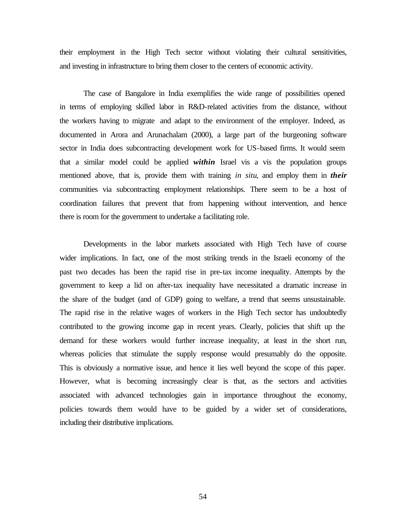their employment in the High Tech sector without violating their cultural sensitivities, and investing in infrastructure to bring them closer to the centers of economic activity.

The case of Bangalore in India exemplifies the wide range of possibilities opened in terms of employing skilled labor in R&D-related activities from the distance, without the workers having to migrate and adapt to the environment of the employer. Indeed, as documented in Arora and Arunachalam (2000), a large part of the burgeoning software sector in India does subcontracting development work for US-based firms. It would seem that a similar model could be applied *within* Israel vis a vis the population groups mentioned above, that is, provide them with training *in situ*, and employ them in *their* communities via subcontracting employment relationships. There seem to be a host of coordination failures that prevent that from happening without intervention, and hence there is room for the government to undertake a facilitating role.

Developments in the labor markets associated with High Tech have of course wider implications. In fact, one of the most striking trends in the Israeli economy of the past two decades has been the rapid rise in pre-tax income inequality. Attempts by the government to keep a lid on after-tax inequality have necessitated a dramatic increase in the share of the budget (and of GDP) going to welfare, a trend that seems unsustainable. The rapid rise in the relative wages of workers in the High Tech sector has undoubtedly contributed to the growing income gap in recent years. Clearly, policies that shift up the demand for these workers would further increase inequality, at least in the short run, whereas policies that stimulate the supply response would presumably do the opposite. This is obviously a normative issue, and hence it lies well beyond the scope of this paper. However, what is becoming increasingly clear is that, as the sectors and activities associated with advanced technologies gain in importance throughout the economy, policies towards them would have to be guided by a wider set of considerations, including their distributive implications.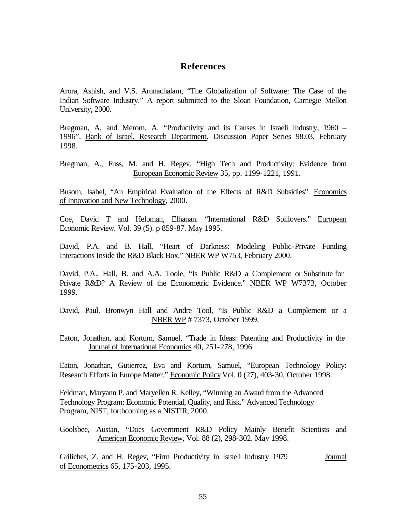### **References**

Arora, Ashish, and V.S. Arunachalam, "The Globalization of Software: The Case of the Indian Software Industry." A report submitted to the Sloan Foundation, Carnegie Mellon University, 2000.

Bregman, A, and Merom, A. "Productivity and its Causes in Israeli Industry, 1960 – 1996". Bank of Israel, Research Department, Discussion Paper Series 98.03, February 1998.

Bregman, A., Fuss, M. and H. Regev, "High Tech and Productivity: Evidence from European Economic Review 35, pp. 1199-1221, 1991.

Busom, Isabel, "An Empirical Evaluation of the Effects of R&D Subsidies". Economics of Innovation and New Technology, 2000.

Coe, David T and Helpman, Elhanan. "International R&D Spillovers." European Economic Review. Vol. 39 (5). p 859-87. May 1995.

David, P.A. and B. Hall, "Heart of Darkness: Modeling Public-Private Funding Interactions Inside the R&D Black Box." NBER WP W753, February 2000.

David, P.A., Hall, B. and A.A. Toole, "Is Public R&D a Complement or Substitute for Private R&D? A Review of the Econometric Evidence." NBER WP W7373, October 1999.

David, Paul, Bronwyn Hall and Andre Tool, "Is Public R&D a Complement or a NBER WP # 7373, October 1999.

Eaton, Jonathan, and Kortum, Samuel, "Trade in Ideas: Patenting and Productivity in the Journal of International Economics 40, 251-278, 1996.

Eaton, Jonathan, Gutierrez, Eva and Kortum, Samuel, "European Technology Policy: Research Efforts in Europe Matter." Economic Policy Vol. 0 (27), 403-30, October 1998.

Feldman, Maryann P. and Maryellen R. Kelley, "Winning an Award from the Advanced Technology Program: Economic Potential, Quality, and Risk." Advanced Technology Program, NIST, forthcoming as a NISTIR, 2000.

Goolsbee, Austan, "Does Government R&D Policy Mainly Benefit Scientists and American Economic Review, Vol. 88 (2), 298-302. May 1998.

Griliches, Z. and H. Regev, "Firm Productivity in Israeli Industry 1979 Journal of Econometrics 65, 175-203, 1995.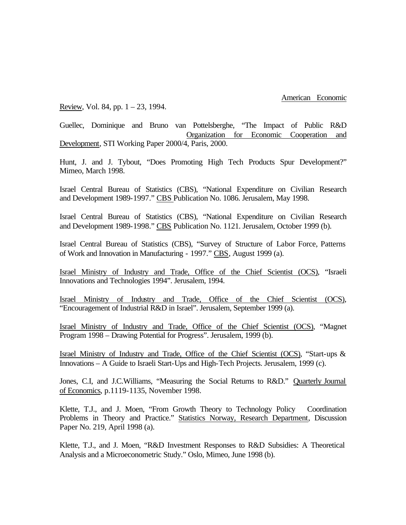American Economic

Review, Vol. 84, pp. 1 – 23, 1994.

Guellec, Dominique and Bruno van Pottelsberghe, "The Impact of Public R&D Organization for Economic Cooperation and Development, STI Working Paper 2000/4, Paris, 2000.

Hunt, J. and J. Tybout, "Does Promoting High Tech Products Spur Development?" Mimeo, March 1998.

Israel Central Bureau of Statistics (CBS), "National Expenditure on Civilian Research and Development 1989-1997." CBS Publication No. 1086. Jerusalem, May 1998.

Israel Central Bureau of Statistics (CBS), "National Expenditure on Civilian Research and Development 1989-1998." CBS Publication No. 1121. Jerusalem, October 1999 (b).

Israel Central Bureau of Statistics (CBS), "Survey of Structure of Labor Force, Patterns of Work and Innovation in Manufacturing - 1997." CBS, August 1999 (a).

Israel Ministry of Industry and Trade, Office of the Chief Scientist (OCS), "Israeli Innovations and Technologies 1994". Jerusalem, 1994.

Israel Ministry of Industry and Trade, Office of the Chief Scientist (OCS), "Encouragement of Industrial R&D in Israel". Jerusalem, September 1999 (a).

Israel Ministry of Industry and Trade, Office of the Chief Scientist (OCS), "Magnet Program 1998 – Drawing Potential for Progress". Jerusalem, 1999 (b).

Israel Ministry of Industry and Trade, Office of the Chief Scientist (OCS), "Start-ups & Innovations – A Guide to Israeli Start-Ups and High-Tech Projects. Jerusalem, 1999 (c).

Jones, C.I, and J.C.Williams, "Measuring the Social Returns to R&D." Quarterly Journal of Economics, p.1119-1135, November 1998.

Klette, T.J., and J. Moen, "From Growth Theory to Technology Policy Coordination Problems in Theory and Practice." Statistics Norway, Research Department, Discussion Paper No. 219, April 1998 (a).

Klette, T.J., and J. Moen, "R&D Investment Responses to R&D Subsidies: A Theoretical Analysis and a Microeconometric Study." Oslo, Mimeo, June 1998 (b).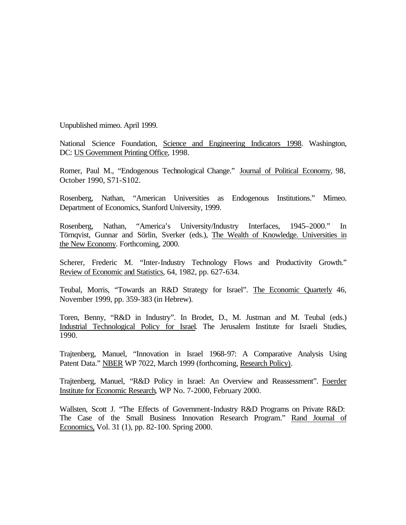Unpublished mimeo. April 1999.

National Science Foundation, Science and Engineering Indicators 1998. Washington, DC: US Government Printing Office, 1998.

Romer, Paul M., "Endogenous Technological Change." Journal of Political Economy, 98, October 1990, S71-S102.

Rosenberg, Nathan, "American Universities as Endogenous Institutions." Mimeo. Department of Economics, Stanford University, 1999.

Rosenberg, Nathan, "America's University/Industry Interfaces, 1945–2000." In Törnqvist, Gunnar and Sörlin, Sverker (eds.), The Wealth of Knowledge. Universities in the New Economy. Forthcoming, 2000.

Scherer, Frederic M. "Inter-Industry Technology Flows and Productivity Growth." Review of Economic and Statistics, 64, 1982, pp. 627-634.

Teubal, Morris, "Towards an R&D Strategy for Israel". The Economic Quarterly 46, November 1999, pp. 359-383 (in Hebrew).

Toren, Benny, "R&D in Industry". In Brodet, D., M. Justman and M. Teubal (eds.) Industrial Technological Policy for Israel. The Jerusalem Institute for Israeli Studies, 1990.

Trajtenberg, Manuel, "Innovation in Israel 1968-97: A Comparative Analysis Using Patent Data." NBER WP 7022, March 1999 (forthcoming, Research Policy).

Trajtenberg, Manuel, "R&D Policy in Israel: An Overview and Reassessment". Foerder Institute for Economic Research, WP No. 7-2000, February 2000.

Wallsten, Scott J. "The Effects of Government-Industry R&D Programs on Private R&D: The Case of the Small Business Innovation Research Program." Rand Journal of Economics, Vol. 31 (1), pp. 82-100. Spring 2000.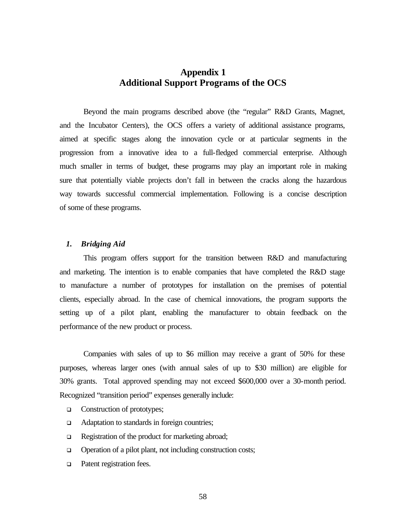## **Appendix 1 Additional Support Programs of the OCS**

Beyond the main programs described above (the "regular" R&D Grants, Magnet, and the Incubator Centers), the OCS offers a variety of additional assistance programs, aimed at specific stages along the innovation cycle or at particular segments in the progression from a innovative idea to a full-fledged commercial enterprise. Although much smaller in terms of budget, these programs may play an important role in making sure that potentially viable projects don't fall in between the cracks along the hazardous way towards successful commercial implementation. Following is a concise description of some of these programs.

#### *1. Bridging Aid*

This program offers support for the transition between R&D and manufacturing and marketing. The intention is to enable companies that have completed the R&D stage to manufacture a number of prototypes for installation on the premises of potential clients, especially abroad. In the case of chemical innovations, the program supports the setting up of a pilot plant, enabling the manufacturer to obtain feedback on the performance of the new product or process.

Companies with sales of up to \$6 million may receive a grant of 50% for these purposes, whereas larger ones (with annual sales of up to \$30 million) are eligible for 30% grants. Total approved spending may not exceed \$600,000 over a 30-month period. Recognized "transition period" expenses generally include:

- $\Box$  Construction of prototypes;
- **Q Adaptation to standards in foreign countries;**
- $\Box$  Registration of the product for marketing abroad;
- **q Operation of a pilot plant, not including construction costs;**
- □ Patent registration fees.